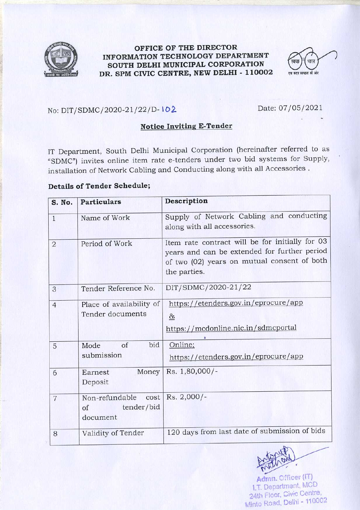

### OFFICE OF THE DIRECTOR INFORMATION TECHNOLOGY DEPARTMENT SOUTH DELHI MUNICIPAL CORPORATION DR. SPM CIVIC CENTRE, NEW DELHI - 110002



No: DIT/SDMC/2020-21/22/D-102

Date: 07/05/2021

## **Notice Inviting E-Tender**

IT Department, South Delhi Municipal Corporation (hereinafter referred to as "SDMC") invites online item rate e-tenders under two bid systems for Supply, installation of Network Cabling and Conducting along with all Accessories .

## **Details of Tender Schedule;**

| S. No.         | <b>Particulars</b>                                         | Description                                                                                                                                                    |
|----------------|------------------------------------------------------------|----------------------------------------------------------------------------------------------------------------------------------------------------------------|
| $\mathbf{1}$   | Name of Work                                               | Supply of Network Cabling and conducting<br>along with all accessories.                                                                                        |
| $\overline{2}$ | Period of Work                                             | Item rate contract will be for initially for 03<br>years and can be extended for further period<br>of two (02) years on mutual consent of both<br>the parties. |
| 3              | Tender Reference No.                                       | DIT/SDMC/2020-21/22                                                                                                                                            |
| $\overline{4}$ | Place of availability of<br>Tender documents               | https://etenders.gov.in/eprocure/app<br>$\underline{\delta}$<br>https://mcdonline.nic.in/sdmcportal                                                            |
| 5              | bid<br>of<br>Mode<br>submission                            | Online;<br>https://etenders.gov.in/eprocure/app                                                                                                                |
| 6              | Money<br>Earnest<br>Deposit                                | Rs. 1,80,000/-                                                                                                                                                 |
| $\overline{7}$ | Non-refundable cost<br>tender/bid<br>$\circ$ f<br>document | Rs. 2,000/-                                                                                                                                                    |
| 8              | Validity of Tender                                         | 120 days from last date of submission of bids                                                                                                                  |



Admn. Officer (IT) 1.T. Department, MCD 24th Floor, Civic Centre, Minto Road, Delhi - 110002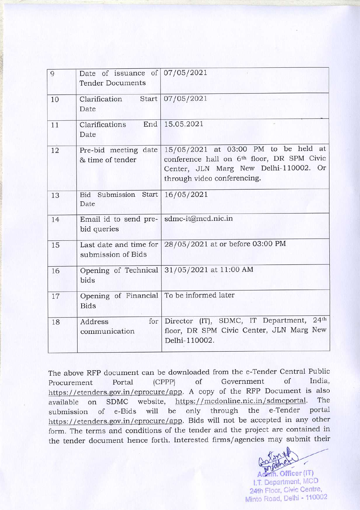| 9  | Date of issuance of $07/05/2021$<br><b>Tender Documents</b> |                                                                                                                                                                        |
|----|-------------------------------------------------------------|------------------------------------------------------------------------------------------------------------------------------------------------------------------------|
| 10 | Clarification                                               | Start   07/05/2021                                                                                                                                                     |
|    | Date                                                        |                                                                                                                                                                        |
| 11 | End<br>Clarifications<br>Date                               | 15.05.2021                                                                                                                                                             |
| 12 | Pre-bid meeting date<br>& time of tender                    | 15/05/2021 at 03:00 PM to be held at<br>conference hall on 6 <sup>th</sup> floor, DR SPM Civic<br>Center, JLN Marg New Delhi-110002. Or<br>through video conferencing. |
| 13 | Bid Submission Start<br>Date                                | 16/05/2021                                                                                                                                                             |
| 14 | Email id to send pre-<br>bid queries                        | sdmc-it@mcd.nic.in                                                                                                                                                     |
| 15 | Last date and time for<br>submission of Bids                | 28/05/2021 at or before 03:00 PM                                                                                                                                       |
| 16 | Opening of Technical<br>bids                                | 31/05/2021 at 11:00 AM                                                                                                                                                 |
| 17 | Opening of Financial   To be informed later<br><b>Bids</b>  |                                                                                                                                                                        |
| 18 | for<br>Address<br>communication                             | 24 <sup>th</sup><br>Director (IT), SDMC, IT Department,<br>floor, DR SPM Civic Center, JLN Marg New<br>Delhi-110002.                                                   |

The above RFP document can be downloaded from the e-Tender Central Public of Government of India,  $(CPPP)$ Portal Procurement https://etenders.gov.in/eprocure/app. A copy of the RFP Document is also The website, https://mcdonline.nic.in/sdmcportal. available on SDMC portal e-Tender will be only through the of e-Bids submission https://etenders.gov.in/eprocure/app. Bids will not be accepted in any other form. The terms and conditions of the tender and the project are contained in the tender document hence forth. Interested firms/agencies may submit their

> in. Officer (IT) I.T. Department, MCD 24th Floor, Civic Centre, Minto Road, Delhi - 110002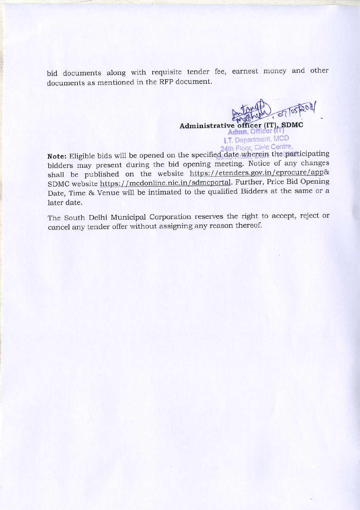bid documents along with requisite tender fee, earnest money and other documents as mentioned in the RFP document.

> Administrative officer (IT), SDMC Admn. Officer I.T. Department, MCD 24th Floor, Civic Centre,

Note: Eligible bids will be opened on the specified date wherein the participating bidders may present during the bid opening meeting. Notice of any changes shall be published on the website https://etenders.gov.in/eprocure/app& SDMC website https://mcdonline.nic.in/sdmcportal. Further, Price Bid Opening Date, Time & Venue will be intimated to the qualified Bidders at the same or a later date.

The South Delhi Municipal Corporation reserves the right to accept, reject or cancel any tender offer without assigning any reason thereof.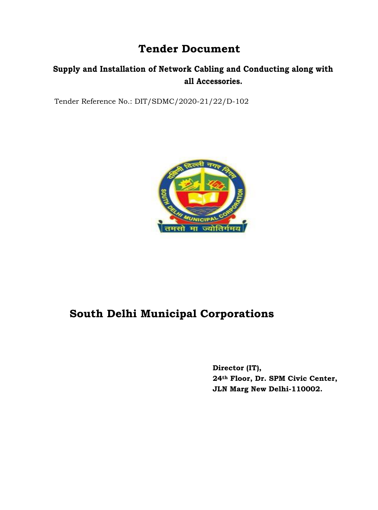# **Tender Document**

# **Supply and Installation of Network Cabling and Conducting along with all Accessories.**

Tender Reference No.: DIT/SDMC/2020-21/22/D-102



# **South Delhi Municipal Corporations**

**Director (IT), 24th Floor, Dr. SPM Civic Center, JLN Marg New Delhi-110002.**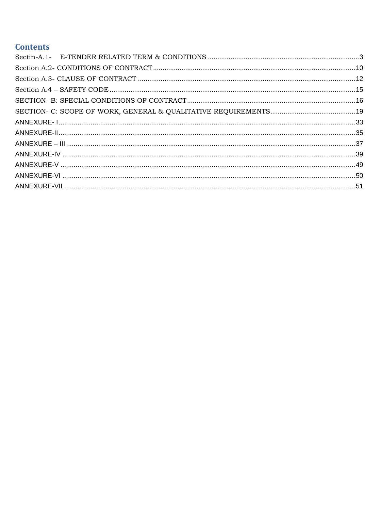## **Contents**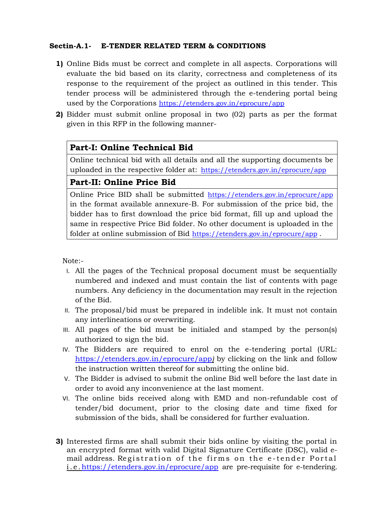## **Sectin-A.1- E-TENDER RELATED TERM & CONDITIONS**

- **1)** Online Bids must be correct and complete in all aspects. Corporations will evaluate the bid based on its clarity, correctness and completeness of its response to the requirement of the project as outlined in this tender. This tender process will be administered through the e-tendering portal being used by the Corporations <https://etenders.gov.in/eprocure/app>
- **2)** Bidder must submit online proposal in two (02) parts as per the format given in this RFP in the following manner-

## **Part-I: Online Technical Bid**

Online technical bid with all details and all the supporting documents be uploaded in the respective folder at: <https://etenders.gov.in/eprocure/app>

## **Part-II: Online Price Bid**

Online Price BID shall be submitted <https://etenders.gov.in/eprocure/app> in the format available annexure-B. For submission of the price bid, the bidder has to first download the price bid format, fill up and upload the same in respective Price Bid folder. No other document is uploaded in the folder at online submission of Bid <https://etenders.gov.in/eprocure/app> .

Note:-

- I. All the pages of the Technical proposal document must be sequentially numbered and indexed and must contain the list of contents with page numbers. Any deficiency in the documentation may result in the rejection of the Bid.
- II. The proposal/bid must be prepared in indelible ink. It must not contain any interlineations or overwriting.
- III. All pages of the bid must be initialed and stamped by the person(s) authorized to sign the bid.
- IV. The Bidders are required to enrol on the e-tendering portal (URL: <https://etenders.gov.in/eprocure/app>*[\)](https://etenders.gov.in/eprocure/app)* by clicking on the link and follow the instruction written thereof for submitting the online bid.
- V. The Bidder is advised to submit the online Bid well before the last date in order to avoid any inconvenience at the last moment.
- VI. The online bids received along with EMD and non-refundable cost of tender/bid document, prior to the closing date and time fixed for submission of the bids, shall be considered for further evaluation.
- **3)** Interested firms are shall submit their bids online by visiting the portal in an encrypted format with valid Digital Signature Certificate (DSC), valid email address. Registration of the firms on the e - tender Portal i.e.<https://etenders.gov.in/eprocure/app> are pre-requisite for e-tendering.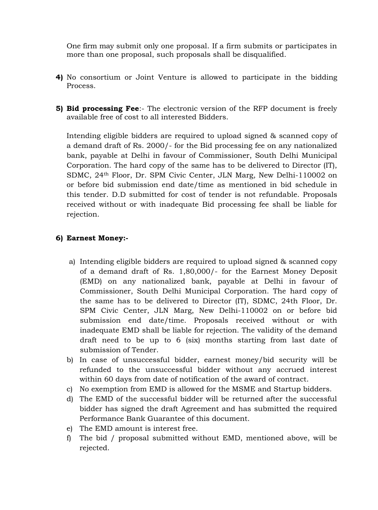One firm may submit only one proposal. If a firm submits or participates in more than one proposal, such proposals shall be disqualified.

- **4)** No consortium or Joint Venture is allowed to participate in the bidding Process.
- **5) Bid processing Fee**:- The electronic version of the RFP document is freely available free of cost to all interested Bidders.

Intending eligible bidders are required to upload signed & scanned copy of a demand draft of Rs. 2000/- for the Bid processing fee on any nationalized bank, payable at Delhi in favour of Commissioner, South Delhi Municipal Corporation. The hard copy of the same has to be delivered to Director (IT), SDMC, 24th Floor, Dr. SPM Civic Center, JLN Marg, New Delhi-110002 on or before bid submission end date/time as mentioned in bid schedule in this tender. D.D submitted for cost of tender is not refundable. Proposals received without or with inadequate Bid processing fee shall be liable for rejection.

### **6) Earnest Money:-**

- a) Intending eligible bidders are required to upload signed & scanned copy of a demand draft of Rs. 1,80,000/- for the Earnest Money Deposit (EMD) on any nationalized bank, payable at Delhi in favour of Commissioner, South Delhi Municipal Corporation. The hard copy of the same has to be delivered to Director (IT), SDMC, 24th Floor, Dr. SPM Civic Center, JLN Marg, New Delhi-110002 on or before bid submission end date/time. Proposals received without or with inadequate EMD shall be liable for rejection. The validity of the demand draft need to be up to 6 (six) months starting from last date of submission of Tender.
- b) In case of unsuccessful bidder, earnest money/bid security will be refunded to the unsuccessful bidder without any accrued interest within 60 days from date of notification of the award of contract.
- c) No exemption from EMD is allowed for the MSME and Startup bidders.
- d) The EMD of the successful bidder will be returned after the successful bidder has signed the draft Agreement and has submitted the required Performance Bank Guarantee of this document.
- e) The EMD amount is interest free.
- f) The bid / proposal submitted without EMD, mentioned above, will be rejected.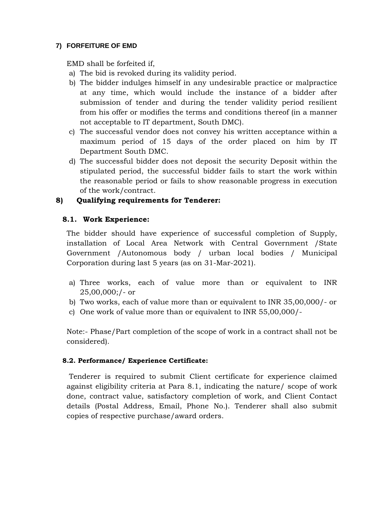## **7) FORFEITURE OF EMD**

EMD shall be forfeited if,

- a) The bid is revoked during its validity period.
- b) The bidder indulges himself in any undesirable practice or malpractice at any time, which would include the instance of a bidder after submission of tender and during the tender validity period resilient from his offer or modifies the terms and conditions thereof (in a manner not acceptable to IT department, South DMC).
- c) The successful vendor does not convey his written acceptance within a maximum period of 15 days of the order placed on him by IT Department South DMC.
- d) The successful bidder does not deposit the security Deposit within the stipulated period, the successful bidder fails to start the work within the reasonable period or fails to show reasonable progress in execution of the work/contract.

## **8) Qualifying requirements for Tenderer:**

## **8.1. Work Experience:**

The bidder should have experience of successful completion of Supply, installation of Local Area Network with Central Government /State Government /Autonomous body / urban local bodies / Municipal Corporation during last 5 years (as on 31-Mar-2021).

- a) Three works, each of value more than or equivalent to INR 25,00,000;/- or
- b) Two works, each of value more than or equivalent to INR 35,00,000/- or
- c) One work of value more than or equivalent to INR 55,00,000/-

Note:- Phase/Part completion of the scope of work in a contract shall not be considered).

## **8.2. Performance/ Experience Certificate:**

Tenderer is required to submit Client certificate for experience claimed against eligibility criteria at Para 8.1, indicating the nature/ scope of work done, contract value, satisfactory completion of work, and Client Contact details (Postal Address, Email, Phone No.). Tenderer shall also submit copies of respective purchase/award orders.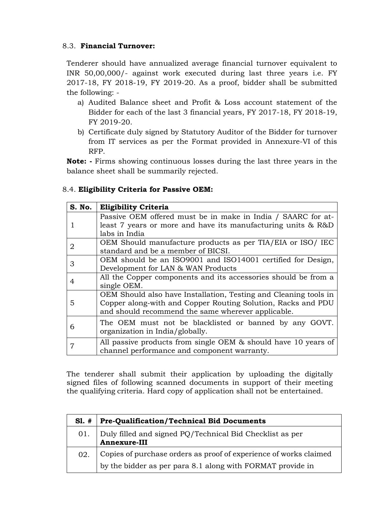## 8.3. **Financial Turnover:**

Tenderer should have annualized average financial turnover equivalent to INR 50,00,000/- against work executed during last three years i.e. FY 2017-18, FY 2018-19, FY 2019-20. As a proof, bidder shall be submitted the following: -

- a) Audited Balance sheet and Profit & Loss account statement of the Bidder for each of the last 3 financial years, FY 2017-18, FY 2018-19, FY 2019-20.
- b) Certificate duly signed by Statutory Auditor of the Bidder for turnover from IT services as per the Format provided in Annexure-VI of this RFP.

**Note: -** Firms showing continuous losses during the last three years in the balance sheet shall be summarily rejected.

### 8.4. **Eligibility Criteria for Passive OEM:**

| S. No. | <b>Eligibility Criteria</b>                                      |
|--------|------------------------------------------------------------------|
|        | Passive OEM offered must be in make in India / SAARC for at-     |
|        | least 7 years or more and have its manufacturing units & R&D     |
|        | labs in India                                                    |
| 2      | OEM Should manufacture products as per TIA/EIA or ISO/ IEC       |
|        | standard and be a member of BICSI.                               |
| З      | OEM should be an ISO9001 and ISO14001 certified for Design,      |
|        | Development for LAN & WAN Products                               |
|        | All the Copper components and its accessories should be from a   |
|        | single OEM.                                                      |
|        | OEM Should also have Installation, Testing and Cleaning tools in |
| 5      | Copper along-with and Copper Routing Solution, Racks and PDU     |
|        | and should recommend the same wherever applicable.               |
|        | The OEM must not be blacklisted or banned by any GOVT.           |
| 6      | organization in India/globally.                                  |
|        | All passive products from single OEM & should have 10 years of   |
| 7      | channel performance and component warranty.                      |

The tenderer shall submit their application by uploading the digitally signed files of following scanned documents in support of their meeting the qualifying criteria. Hard copy of application shall not be entertained.

| $SI. \#$ | <b>Pre-Qualification/Technical Bid Documents</b>                                                                                |
|----------|---------------------------------------------------------------------------------------------------------------------------------|
| 01.      | Duly filled and signed PQ/Technical Bid Checklist as per<br>Annexure-III                                                        |
| 02.      | Copies of purchase orders as proof of experience of works claimed<br>by the bidder as per para 8.1 along with FORMAT provide in |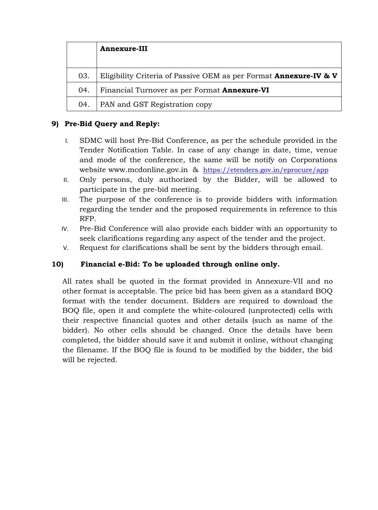|     | <b>Annexure-III</b>                                                          |
|-----|------------------------------------------------------------------------------|
| 03. | Eligibility Criteria of Passive OEM as per Format <b>Annexure-IV &amp; V</b> |
| 04. | Financial Turnover as per Format <b>Annexure-VI</b>                          |
| 04. | PAN and GST Registration copy                                                |

## **9) Pre-Bid Query and Reply:**

- I. SDMC will host Pre-Bid Conference, as per the schedule provided in the Tender Notification Table. In case of any change in date, time, venue and mode of the conference, the same will be notify on Corporations website [www.mcdonline.gov.in](http://www.mcdonline.gov.in/) & <https://etenders.gov.in/eprocure/app>
- II. Only persons, duly authorized by the Bidder, will be allowed to participate in the pre-bid meeting.
- III. The purpose of the conference is to provide bidders with information regarding the tender and the proposed requirements in reference to this RFP.
- IV. Pre-Bid Conference will also provide each bidder with an opportunity to seek clarifications regarding any aspect of the tender and the project.
- V. Request for clarifications shall be sent by the bidders through email.

## **10) Financial e-Bid: To be uploaded through online only.**

All rates shall be quoted in the format provided in Annexure-VII and no other format is acceptable. The price bid has been given as a standard BOQ format with the tender document. Bidders are required to download the BOQ file, open it and complete the white-coloured (unprotected) cells with their respective financial quotes and other details (such as name of the bidder). No other cells should be changed. Once the details have been completed, the bidder should save it and submit it online, without changing the filename. If the BOQ file is found to be modified by the bidder, the bid will be rejected.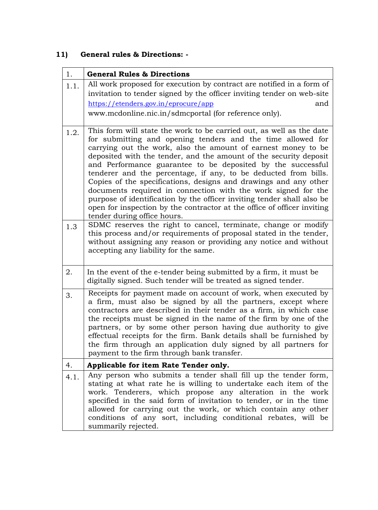# **11) General rules & Directions: -**

| 1.   | <b>General Rules &amp; Directions</b>                                                                                                                                                                                                                                                                                                                                                                                                                                                                                                                                                                                                                                                                                                |
|------|--------------------------------------------------------------------------------------------------------------------------------------------------------------------------------------------------------------------------------------------------------------------------------------------------------------------------------------------------------------------------------------------------------------------------------------------------------------------------------------------------------------------------------------------------------------------------------------------------------------------------------------------------------------------------------------------------------------------------------------|
| 1.1. | All work proposed for execution by contract are notified in a form of<br>invitation to tender signed by the officer inviting tender on web-site<br>https://etenders.gov.in/eprocure/app<br>and<br>www.mcdonline.nic.in/sdmcportal (for reference only).                                                                                                                                                                                                                                                                                                                                                                                                                                                                              |
| 1.2. | This form will state the work to be carried out, as well as the date<br>for submitting and opening tenders and the time allowed for<br>carrying out the work, also the amount of earnest money to be<br>deposited with the tender, and the amount of the security deposit<br>and Performance guarantee to be deposited by the successful<br>tenderer and the percentage, if any, to be deducted from bills.<br>Copies of the specifications, designs and drawings and any other<br>documents required in connection with the work signed for the<br>purpose of identification by the officer inviting tender shall also be<br>open for inspection by the contractor at the office of officer inviting<br>tender during office hours. |
| 1.3  | SDMC reserves the right to cancel, terminate, change or modify<br>this process and/or requirements of proposal stated in the tender,<br>without assigning any reason or providing any notice and without<br>accepting any liability for the same.                                                                                                                                                                                                                                                                                                                                                                                                                                                                                    |
| 2.   | In the event of the e-tender being submitted by a firm, it must be<br>digitally signed. Such tender will be treated as signed tender.                                                                                                                                                                                                                                                                                                                                                                                                                                                                                                                                                                                                |
| 3.   | Receipts for payment made on account of work, when executed by<br>a firm, must also be signed by all the partners, except where<br>contractors are described in their tender as a firm, in which case<br>the receipts must be signed in the name of the firm by one of the<br>partners, or by some other person having due authority to give<br>effectual receipts for the firm. Bank details shall be furnished by<br>the firm through an application duly signed by all partners for<br>payment to the firm through bank transfer.                                                                                                                                                                                                 |
| 4.   | Applicable for item Rate Tender only.                                                                                                                                                                                                                                                                                                                                                                                                                                                                                                                                                                                                                                                                                                |
| 4.1. | Any person who submits a tender shall fill up the tender form,<br>stating at what rate he is willing to undertake each item of the<br>work. Tenderers, which propose any alteration in the work<br>specified in the said form of invitation to tender, or in the time<br>allowed for carrying out the work, or which contain any other<br>conditions of any sort, including conditional rebates, will be<br>summarily rejected.                                                                                                                                                                                                                                                                                                      |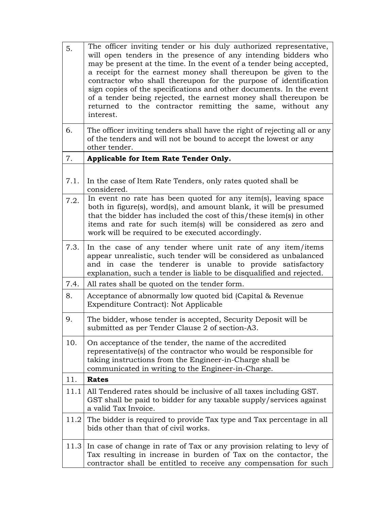| 5.   | The officer inviting tender or his duly authorized representative,<br>will open tenders in the presence of any intending bidders who<br>may be present at the time. In the event of a tender being accepted,<br>a receipt for the earnest money shall thereupon be given to the<br>contractor who shall thereupon for the purpose of identification<br>sign copies of the specifications and other documents. In the event<br>of a tender being rejected, the earnest money shall thereupon be<br>returned to the contractor remitting the same, without any<br>interest. |
|------|---------------------------------------------------------------------------------------------------------------------------------------------------------------------------------------------------------------------------------------------------------------------------------------------------------------------------------------------------------------------------------------------------------------------------------------------------------------------------------------------------------------------------------------------------------------------------|
| 6.   | The officer inviting tenders shall have the right of rejecting all or any<br>of the tenders and will not be bound to accept the lowest or any<br>other tender.                                                                                                                                                                                                                                                                                                                                                                                                            |
| 7.   | Applicable for Item Rate Tender Only.                                                                                                                                                                                                                                                                                                                                                                                                                                                                                                                                     |
| 7.1. | In the case of Item Rate Tenders, only rates quoted shall be<br>considered.                                                                                                                                                                                                                                                                                                                                                                                                                                                                                               |
| 7.2. | In event no rate has been quoted for any item(s), leaving space<br>both in figure(s), word(s), and amount blank, it will be presumed<br>that the bidder has included the cost of this/these item(s) in other<br>items and rate for such item(s) will be considered as zero and<br>work will be required to be executed accordingly.                                                                                                                                                                                                                                       |
| 7.3. | In the case of any tender where unit rate of any item/items<br>appear unrealistic, such tender will be considered as unbalanced<br>and in case the tenderer is unable to provide satisfactory<br>explanation, such a tender is liable to be disqualified and rejected.                                                                                                                                                                                                                                                                                                    |
| 7.4. | All rates shall be quoted on the tender form.                                                                                                                                                                                                                                                                                                                                                                                                                                                                                                                             |
| 8.   | Acceptance of abnormally low quoted bid (Capital & Revenue<br>Expenditure Contract): Not Applicable                                                                                                                                                                                                                                                                                                                                                                                                                                                                       |
| 9.   | The bidder, whose tender is accepted, Security Deposit will be<br>submitted as per Tender Clause 2 of section-A3.                                                                                                                                                                                                                                                                                                                                                                                                                                                         |
| 10.  | On acceptance of the tender, the name of the accredited<br>representative(s) of the contractor who would be responsible for<br>taking instructions from the Engineer-in-Charge shall be<br>communicated in writing to the Engineer-in-Charge.                                                                                                                                                                                                                                                                                                                             |
| 11.  | <b>Rates</b>                                                                                                                                                                                                                                                                                                                                                                                                                                                                                                                                                              |
| 11.1 | All Tendered rates should be inclusive of all taxes including GST.<br>GST shall be paid to bidder for any taxable supply/services against<br>a valid Tax Invoice.                                                                                                                                                                                                                                                                                                                                                                                                         |
| 11.2 | The bidder is required to provide Tax type and Tax percentage in all<br>bids other than that of civil works.                                                                                                                                                                                                                                                                                                                                                                                                                                                              |
| 11.3 | In case of change in rate of Tax or any provision relating to levy of<br>Tax resulting in increase in burden of Tax on the contactor, the<br>contractor shall be entitled to receive any compensation for such                                                                                                                                                                                                                                                                                                                                                            |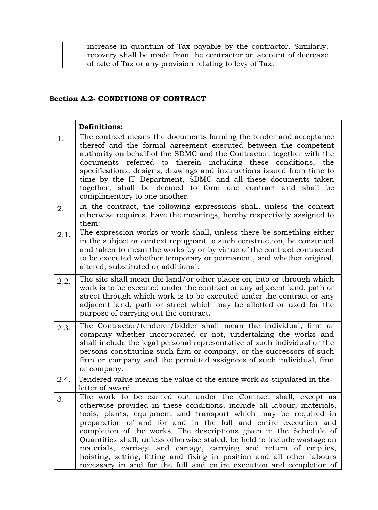| increase in quantum of Tax payable by the contractor. Similarly,  |
|-------------------------------------------------------------------|
| recovery shall be made from the contractor on account of decrease |
| of rate of Tax or any provision relating to levy of Tax.          |

## **Section A.2- CONDITIONS OF CONTRACT**

|      | <b>Definitions:</b>                                                                                                                                                                                                                                                                                                                                                                                                                                                                                                                                                                                                                                     |
|------|---------------------------------------------------------------------------------------------------------------------------------------------------------------------------------------------------------------------------------------------------------------------------------------------------------------------------------------------------------------------------------------------------------------------------------------------------------------------------------------------------------------------------------------------------------------------------------------------------------------------------------------------------------|
| 1.   | The contract means the documents forming the tender and acceptance<br>thereof and the formal agreement executed between the competent<br>authority on behalf of the SDMC and the Contractor, together with the<br>documents referred to therein including these conditions, the<br>specifications, designs, drawings and instructions issued from time to<br>time by the IT Department, SDMC and all these documents taken<br>together, shall be deemed to form one contract and shall be<br>complimentary to one another.                                                                                                                              |
| 2.   | In the contract, the following expressions shall, unless the context<br>otherwise requires, have the meanings, hereby respectively assigned to<br>them:                                                                                                                                                                                                                                                                                                                                                                                                                                                                                                 |
| 2.1. | The expression works or work shall, unless there be something either<br>in the subject or context repugnant to such construction, be construed<br>and taken to mean the works by or by virtue of the contract contracted<br>to be executed whether temporary or permanent, and whether original,<br>altered, substituted or additional.                                                                                                                                                                                                                                                                                                                 |
| 2.2. | The site shall mean the land/or other places on, into or through which<br>work is to be executed under the contract or any adjacent land, path or<br>street through which work is to be executed under the contract or any<br>adjacent land, path or street which may be allotted or used for the<br>purpose of carrying out the contract.                                                                                                                                                                                                                                                                                                              |
| 2.3. | The Contractor/tenderer/bidder shall mean the individual, firm or<br>company whether incorporated or not, undertaking the works and<br>shall include the legal personal representative of such individual or the<br>persons constituting such firm or company, or the successors of such<br>firm or company and the permitted assignees of such individual, firm<br>or company.                                                                                                                                                                                                                                                                         |
| 2.4. | Tendered value means the value of the entire work as stipulated in the<br>letter of award.                                                                                                                                                                                                                                                                                                                                                                                                                                                                                                                                                              |
| 3.   | The work to be carried out under the Contract shall, except as<br>otherwise provided in these conditions, include all labour, materials,<br>tools, plants, equipment and transport which may be required in<br>preparation of and for and in the full and entire execution and<br>completion of the works. The descriptions given in the Schedule of<br>Quantities shall, unless otherwise stated, be held to include wastage on<br>materials, carriage and cartage, carrying and return of empties,<br>hoisting, setting, fitting and fixing in position and all other labours<br>necessary in and for the full and entire execution and completion of |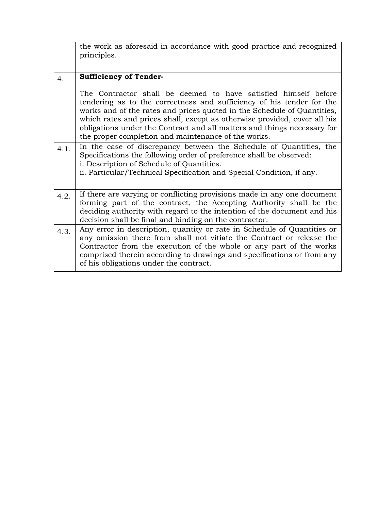|      | the work as aforesaid in accordance with good practice and recognized<br>principles.                                                                                                                                                                                                                                                                                                                                               |
|------|------------------------------------------------------------------------------------------------------------------------------------------------------------------------------------------------------------------------------------------------------------------------------------------------------------------------------------------------------------------------------------------------------------------------------------|
| 4.   | <b>Sufficiency of Tender-</b>                                                                                                                                                                                                                                                                                                                                                                                                      |
|      | The Contractor shall be deemed to have satisfied himself before<br>tendering as to the correctness and sufficiency of his tender for the<br>works and of the rates and prices quoted in the Schedule of Quantities,<br>which rates and prices shall, except as otherwise provided, cover all his<br>obligations under the Contract and all matters and things necessary for<br>the proper completion and maintenance of the works. |
| 4.1. | In the case of discrepancy between the Schedule of Quantities, the<br>Specifications the following order of preference shall be observed:<br>i. Description of Schedule of Quantities.<br>ii. Particular/Technical Specification and Special Condition, if any.                                                                                                                                                                    |
| 4.2. | If there are varying or conflicting provisions made in any one document<br>forming part of the contract, the Accepting Authority shall be the<br>deciding authority with regard to the intention of the document and his<br>decision shall be final and binding on the contractor.                                                                                                                                                 |
| 4.3. | Any error in description, quantity or rate in Schedule of Quantities or<br>any omission there from shall not vitiate the Contract or release the<br>Contractor from the execution of the whole or any part of the works<br>comprised therein according to drawings and specifications or from any<br>of his obligations under the contract.                                                                                        |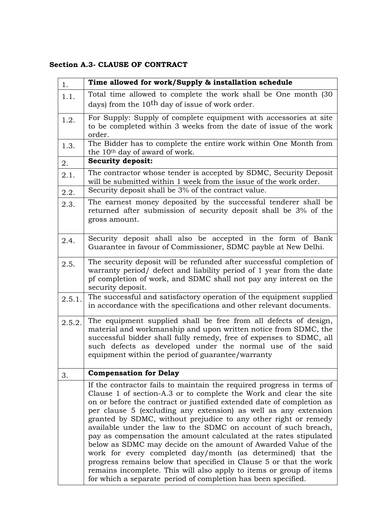## **Section A.3- CLAUSE OF CONTRACT**

| 1.     | Time allowed for work/Supply & installation schedule                                                                                                                                                                                                                                                                                                                                                                                                                                                                                                                                                                                                                                                                                                                                                                                             |
|--------|--------------------------------------------------------------------------------------------------------------------------------------------------------------------------------------------------------------------------------------------------------------------------------------------------------------------------------------------------------------------------------------------------------------------------------------------------------------------------------------------------------------------------------------------------------------------------------------------------------------------------------------------------------------------------------------------------------------------------------------------------------------------------------------------------------------------------------------------------|
| 1.1.   | Total time allowed to complete the work shall be One month (30                                                                                                                                                                                                                                                                                                                                                                                                                                                                                                                                                                                                                                                                                                                                                                                   |
|        | days) from the 10 <sup>th</sup> day of issue of work order.                                                                                                                                                                                                                                                                                                                                                                                                                                                                                                                                                                                                                                                                                                                                                                                      |
| 1.2.   | For Supply: Supply of complete equipment with accessories at site                                                                                                                                                                                                                                                                                                                                                                                                                                                                                                                                                                                                                                                                                                                                                                                |
|        | to be completed within 3 weeks from the date of issue of the work<br>order.                                                                                                                                                                                                                                                                                                                                                                                                                                                                                                                                                                                                                                                                                                                                                                      |
| 1.3.   | The Bidder has to complete the entire work within One Month from<br>the 10 <sup>th</sup> day of award of work.                                                                                                                                                                                                                                                                                                                                                                                                                                                                                                                                                                                                                                                                                                                                   |
| 2.     | <b>Security deposit:</b>                                                                                                                                                                                                                                                                                                                                                                                                                                                                                                                                                                                                                                                                                                                                                                                                                         |
| 2.1.   | The contractor whose tender is accepted by SDMC, Security Deposit<br>will be submitted within 1 week from the issue of the work order.                                                                                                                                                                                                                                                                                                                                                                                                                                                                                                                                                                                                                                                                                                           |
| 2.2.   | Security deposit shall be 3% of the contract value.                                                                                                                                                                                                                                                                                                                                                                                                                                                                                                                                                                                                                                                                                                                                                                                              |
| 2.3.   | The earnest money deposited by the successful tenderer shall be<br>returned after submission of security deposit shall be 3% of the<br>gross amount.                                                                                                                                                                                                                                                                                                                                                                                                                                                                                                                                                                                                                                                                                             |
| 2.4.   | Security deposit shall also be accepted in the form of Bank<br>Guarantee in favour of Commissioner, SDMC payble at New Delhi.                                                                                                                                                                                                                                                                                                                                                                                                                                                                                                                                                                                                                                                                                                                    |
| 2.5.   | The security deposit will be refunded after successful completion of<br>warranty period/ defect and liability period of 1 year from the date<br>pf completion of work, and SDMC shall not pay any interest on the<br>security deposit.                                                                                                                                                                                                                                                                                                                                                                                                                                                                                                                                                                                                           |
| 2.5.1. | The successful and satisfactory operation of the equipment supplied<br>in accordance with the specifications and other relevant documents.                                                                                                                                                                                                                                                                                                                                                                                                                                                                                                                                                                                                                                                                                                       |
| 2.5.2. | The equipment supplied shall be free from all defects of design,<br>material and workmanship and upon written notice from SDMC, the<br>successful bidder shall fully remedy, free of expenses to SDMC, all<br>such defects as developed under the normal use of the said<br>equipment within the period of guarantee/warranty                                                                                                                                                                                                                                                                                                                                                                                                                                                                                                                    |
| 3.     | <b>Compensation for Delay</b>                                                                                                                                                                                                                                                                                                                                                                                                                                                                                                                                                                                                                                                                                                                                                                                                                    |
|        | If the contractor fails to maintain the required progress in terms of<br>Clause 1 of section-A.3 or to complete the Work and clear the site<br>on or before the contract or justified extended date of completion as<br>per clause 5 (excluding any extension) as well as any extension<br>granted by SDMC, without prejudice to any other right or remedy<br>available under the law to the SDMC on account of such breach,<br>pay as compensation the amount calculated at the rates stipulated<br>below as SDMC may decide on the amount of Awarded Value of the<br>work for every completed day/month (as determined) that the<br>progress remains below that specified in Clause 5 or that the work<br>remains incomplete. This will also apply to items or group of items<br>for which a separate period of completion has been specified. |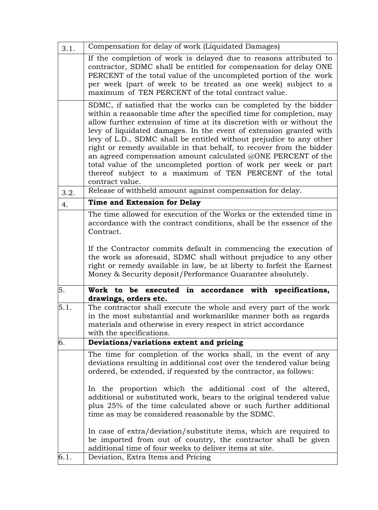| 3.1. | Compensation for delay of work (Liquidated Damages)                                                                                                                                                                                                                                                                                                                                                                                                                                                                                                                                                                                                       |
|------|-----------------------------------------------------------------------------------------------------------------------------------------------------------------------------------------------------------------------------------------------------------------------------------------------------------------------------------------------------------------------------------------------------------------------------------------------------------------------------------------------------------------------------------------------------------------------------------------------------------------------------------------------------------|
|      | If the completion of work is delayed due to reasons attributed to<br>contractor, SDMC shall be entitled for compensation for delay ONE<br>PERCENT of the total value of the uncompleted portion of the work<br>per week (part of week to be treated as one week) subject to a<br>maximum of TEN PERCENT of the total contract value.                                                                                                                                                                                                                                                                                                                      |
|      | SDMC, if satisfied that the works can be completed by the bidder<br>within a reasonable time after the specified time for completion, may<br>allow further extension of time at its discretion with or without the<br>levy of liquidated damages. In the event of extension granted with<br>levy of L.D., SDMC shall be entitled without prejudice to any other<br>right or remedy available in that behalf, to recover from the bidder<br>an agreed compensation amount calculated @ONE PERCENT of the<br>total value of the uncompleted portion of work per week or part<br>thereof subject to a maximum of TEN PERCENT of the total<br>contract value. |
| 3.2. | Release of withheld amount against compensation for delay.                                                                                                                                                                                                                                                                                                                                                                                                                                                                                                                                                                                                |
| 4.   | Time and Extension for Delay                                                                                                                                                                                                                                                                                                                                                                                                                                                                                                                                                                                                                              |
|      | The time allowed for execution of the Works or the extended time in<br>accordance with the contract conditions, shall be the essence of the<br>Contract.                                                                                                                                                                                                                                                                                                                                                                                                                                                                                                  |
|      | If the Contractor commits default in commencing the execution of<br>the work as aforesaid, SDMC shall without prejudice to any other<br>right or remedy available in law, be at liberty to forfeit the Earnest<br>Money & Security deposit/Performance Guarantee absolutely.                                                                                                                                                                                                                                                                                                                                                                              |
| 5.   | Work to be executed<br>in accordance<br>specifications,<br>with<br>drawings, orders etc.                                                                                                                                                                                                                                                                                                                                                                                                                                                                                                                                                                  |
| 5.1. | The contractor shall execute the whole and every part of the work<br>in the most substantial and workmanlike manner both as regards<br>materials and otherwise in every respect in strict accordance<br>with the specifications.                                                                                                                                                                                                                                                                                                                                                                                                                          |
| 6.   | Deviations/variations extent and pricing                                                                                                                                                                                                                                                                                                                                                                                                                                                                                                                                                                                                                  |
|      | The time for completion of the works shall, in the event of any<br>deviations resulting in additional cost over the tendered value being<br>ordered, be extended, if requested by the contractor, as follows:                                                                                                                                                                                                                                                                                                                                                                                                                                             |
|      | In the proportion which the additional cost of the altered,<br>additional or substituted work, bears to the original tendered value<br>plus 25% of the time calculated above or such further additional<br>time as may be considered reasonable by the SDMC.                                                                                                                                                                                                                                                                                                                                                                                              |
|      | In case of extra/deviation/substitute items, which are required to<br>be imported from out of country, the contractor shall be given<br>additional time of four weeks to deliver items at site.                                                                                                                                                                                                                                                                                                                                                                                                                                                           |
| 6.1. | Deviation, Extra Items and Pricing                                                                                                                                                                                                                                                                                                                                                                                                                                                                                                                                                                                                                        |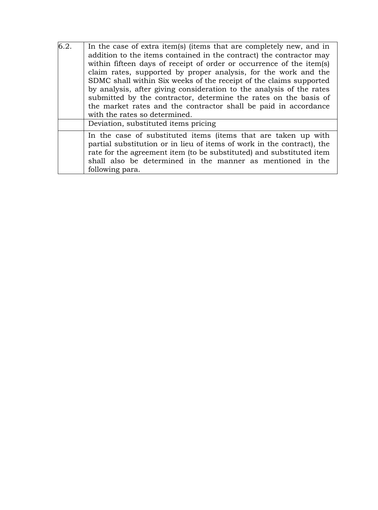| 6.2. | In the case of extra item(s) (items that are completely new, and in    |
|------|------------------------------------------------------------------------|
|      | addition to the items contained in the contract) the contractor may    |
|      | within fifteen days of receipt of order or occurrence of the item(s)   |
|      | claim rates, supported by proper analysis, for the work and the        |
|      | SDMC shall within Six weeks of the receipt of the claims supported     |
|      | by analysis, after giving consideration to the analysis of the rates   |
|      | submitted by the contractor, determine the rates on the basis of       |
|      | the market rates and the contractor shall be paid in accordance        |
|      | with the rates so determined.                                          |
|      | Deviation, substituted items pricing                                   |
|      | In the case of substituted items (items that are taken up with         |
|      | partial substitution or in lieu of items of work in the contract), the |
|      | rate for the agreement item (to be substituted) and substituted item   |
|      | shall also be determined in the manner as mentioned in the             |
|      | following para.                                                        |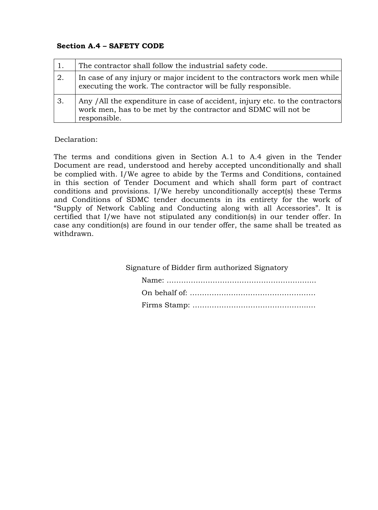### **Section A.4 – SAFETY CODE**

| $\overline{1}$ . | The contractor shall follow the industrial safety code.                                                                                                        |
|------------------|----------------------------------------------------------------------------------------------------------------------------------------------------------------|
| 2.               | In case of any injury or major incident to the contractors work men while<br>executing the work. The contractor will be fully responsible.                     |
| 3.               | Any /All the expenditure in case of accident, injury etc. to the contractors<br>work men, has to be met by the contractor and SDMC will not be<br>responsible. |

### Declaration:

The terms and conditions given in Section A.1 to A.4 given in the Tender Document are read, understood and hereby accepted unconditionally and shall be complied with. I/We agree to abide by the Terms and Conditions, contained in this section of Tender Document and which shall form part of contract conditions and provisions. I/We hereby unconditionally accept(s) these Terms and Conditions of SDMC tender documents in its entirety for the work of "Supply of Network Cabling and Conducting along with all Accessories". It is certified that I/we have not stipulated any condition(s) in our tender offer. In case any condition(s) are found in our tender offer, the same shall be treated as withdrawn.

Signature of Bidder firm authorized Signatory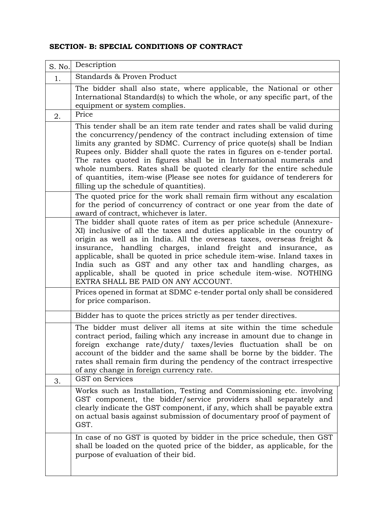## **SECTION- B: SPECIAL CONDITIONS OF CONTRACT**

| S. No. | Description                                                                                                                                                                                                                                                                                                                                                                                                                                                                                                                                                                 |
|--------|-----------------------------------------------------------------------------------------------------------------------------------------------------------------------------------------------------------------------------------------------------------------------------------------------------------------------------------------------------------------------------------------------------------------------------------------------------------------------------------------------------------------------------------------------------------------------------|
| 1.     | Standards & Proven Product                                                                                                                                                                                                                                                                                                                                                                                                                                                                                                                                                  |
|        | The bidder shall also state, where applicable, the National or other<br>International Standard(s) to which the whole, or any specific part, of the<br>equipment or system complies.                                                                                                                                                                                                                                                                                                                                                                                         |
| 2.     | Price                                                                                                                                                                                                                                                                                                                                                                                                                                                                                                                                                                       |
|        | This tender shall be an item rate tender and rates shall be valid during<br>the concurrency/pendency of the contract including extension of time<br>limits any granted by SDMC. Currency of price quote(s) shall be Indian<br>Rupees only. Bidder shall quote the rates in figures on e-tender portal.<br>The rates quoted in figures shall be in International numerals and<br>whole numbers. Rates shall be quoted clearly for the entire schedule<br>of quantities, item-wise (Please see notes for guidance of tenderers for<br>filling up the schedule of quantities). |
|        | The quoted price for the work shall remain firm without any escalation<br>for the period of concurrency of contract or one year from the date of<br>award of contract, whichever is later.                                                                                                                                                                                                                                                                                                                                                                                  |
|        | The bidder shall quote rates of item as per price schedule (Annexure-<br>XI) inclusive of all the taxes and duties applicable in the country of<br>origin as well as in India. All the overseas taxes, overseas freight &<br>insurance, handling charges, inland freight and insurance, as<br>applicable, shall be quoted in price schedule item-wise. Inland taxes in<br>India such as GST and any other tax and handling charges, as<br>applicable, shall be quoted in price schedule item-wise. NOTHING<br>EXTRA SHALL BE PAID ON ANY ACCOUNT.                           |
|        | Prices opened in format at SDMC e-tender portal only shall be considered<br>for price comparison.                                                                                                                                                                                                                                                                                                                                                                                                                                                                           |
|        | Bidder has to quote the prices strictly as per tender directives.                                                                                                                                                                                                                                                                                                                                                                                                                                                                                                           |
|        | The bidder must deliver all items at site within the time schedule<br>contract period, failing which any increase in amount due to change in<br>foreign exchange rate/duty/ taxes/levies fluctuation shall be on<br>account of the bidder and the same shall be borne by the bidder. The<br>rates shall remain firm during the pendency of the contract irrespective<br>of any change in foreign currency rate.                                                                                                                                                             |
| 3.     | GST on Services                                                                                                                                                                                                                                                                                                                                                                                                                                                                                                                                                             |
|        | Works such as Installation, Testing and Commissioning etc. involving<br>GST component, the bidder/service providers shall separately and<br>clearly indicate the GST component, if any, which shall be payable extra<br>on actual basis against submission of documentary proof of payment of<br>GST.                                                                                                                                                                                                                                                                       |
|        | In case of no GST is quoted by bidder in the price schedule, then GST<br>shall be loaded on the quoted price of the bidder, as applicable, for the<br>purpose of evaluation of their bid.                                                                                                                                                                                                                                                                                                                                                                                   |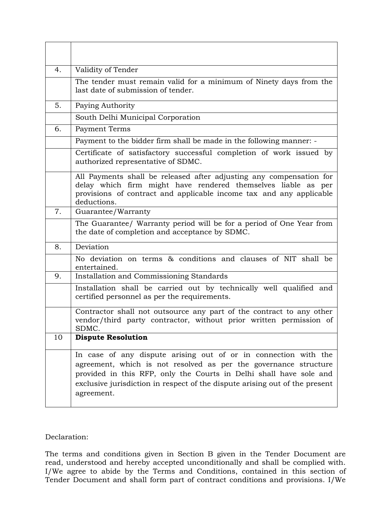| 4. | Validity of Tender                                                                                                                                                                                                                                                                                     |
|----|--------------------------------------------------------------------------------------------------------------------------------------------------------------------------------------------------------------------------------------------------------------------------------------------------------|
|    | The tender must remain valid for a minimum of Ninety days from the<br>last date of submission of tender.                                                                                                                                                                                               |
| 5. | Paying Authority                                                                                                                                                                                                                                                                                       |
|    | South Delhi Municipal Corporation                                                                                                                                                                                                                                                                      |
| 6. | Payment Terms                                                                                                                                                                                                                                                                                          |
|    | Payment to the bidder firm shall be made in the following manner: -                                                                                                                                                                                                                                    |
|    | Certificate of satisfactory successful completion of work issued by<br>authorized representative of SDMC.                                                                                                                                                                                              |
|    | All Payments shall be released after adjusting any compensation for<br>delay which firm might have rendered themselves liable as per<br>provisions of contract and applicable income tax and any applicable<br>deductions.                                                                             |
| 7. | Guarantee/Warranty                                                                                                                                                                                                                                                                                     |
|    | The Guarantee/ Warranty period will be for a period of One Year from<br>the date of completion and acceptance by SDMC.                                                                                                                                                                                 |
| 8. | Deviation                                                                                                                                                                                                                                                                                              |
|    | No deviation on terms & conditions and clauses of NIT shall be<br>entertained.                                                                                                                                                                                                                         |
| 9. | Installation and Commissioning Standards                                                                                                                                                                                                                                                               |
|    | Installation shall be carried out by technically well qualified and<br>certified personnel as per the requirements.                                                                                                                                                                                    |
|    | Contractor shall not outsource any part of the contract to any other<br>vendor/third party contractor, without prior written permission of<br>SDMC.                                                                                                                                                    |
| 10 | <b>Dispute Resolution</b>                                                                                                                                                                                                                                                                              |
|    | In case of any dispute arising out of or in connection with the<br>agreement, which is not resolved as per the governance structure<br>provided in this RFP, only the Courts in Delhi shall have sole and<br>exclusive jurisdiction in respect of the dispute arising out of the present<br>agreement. |

Declaration:

The terms and conditions given in Section B given in the Tender Document are read, understood and hereby accepted unconditionally and shall be complied with. I/We agree to abide by the Terms and Conditions, contained in this section of Tender Document and shall form part of contract conditions and provisions. I/We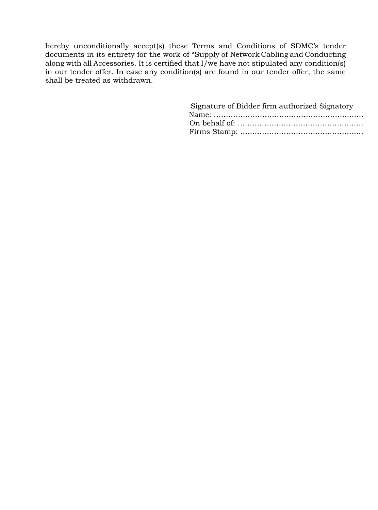hereby unconditionally accept(s) these Terms and Conditions of SDMC's tender documents in its entirety for the work of "Supply of Network Cabling and Conducting along with all Accessories. It is certified that  $\overrightarrow{l}$  we have not stipulated any condition(s) in our tender offer. In case any condition(s) are found in our tender offer, the same shall be treated as withdrawn.

| Signature of Bidder firm authorized Signatory |
|-----------------------------------------------|
|                                               |
|                                               |
|                                               |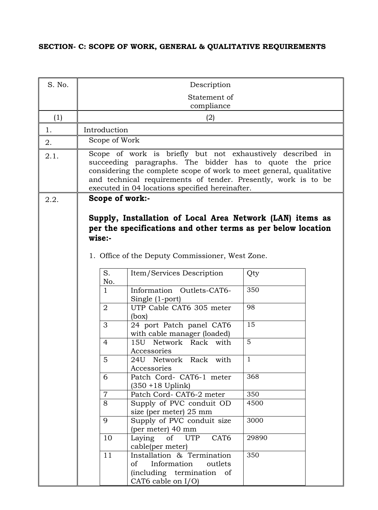# **SECTION- C: SCOPE OF WORK, GENERAL & QUALITATIVE REQUIREMENTS**

| S. No. |                           | Description                                                                                                                                                                                                                                                                                                        |              |  |
|--------|---------------------------|--------------------------------------------------------------------------------------------------------------------------------------------------------------------------------------------------------------------------------------------------------------------------------------------------------------------|--------------|--|
|        |                           | Statement of<br>compliance                                                                                                                                                                                                                                                                                         |              |  |
| (1)    |                           | (2)                                                                                                                                                                                                                                                                                                                |              |  |
| 1.     | Introduction              |                                                                                                                                                                                                                                                                                                                    |              |  |
| 2.     | Scope of Work             |                                                                                                                                                                                                                                                                                                                    |              |  |
| 2.1.   |                           | Scope of work is briefly but not exhaustively described in<br>succeeding paragraphs. The bidder has to quote the price<br>considering the complete scope of work to meet general, qualitative<br>and technical requirements of tender. Presently, work is to be<br>executed in 04 locations specified hereinafter. |              |  |
| 2.2.   | Scope of work:-<br>wise:- | Supply, Installation of Local Area Network (LAN) items as<br>per the specifications and other terms as per below location<br>1. Office of the Deputy Commissioner, West Zone.                                                                                                                                      |              |  |
|        | S.<br>No.                 | Item/Services Description                                                                                                                                                                                                                                                                                          | Qty          |  |
|        | $\mathbf{1}$              | Information Outlets-CAT6-<br>Single (1-port)                                                                                                                                                                                                                                                                       | 350          |  |
|        | $\overline{2}$            | UTP Cable CAT6 305 meter<br>(box)                                                                                                                                                                                                                                                                                  | 98           |  |
|        | 3                         | 24 port Patch panel CAT6<br>with cable manager (loaded)                                                                                                                                                                                                                                                            | 15           |  |
|        | 4                         | 15U Network Rack with<br>Accessories                                                                                                                                                                                                                                                                               | 5            |  |
|        | 5                         | 24U Network Rack with<br>Accessories                                                                                                                                                                                                                                                                               | $\mathbf{1}$ |  |
|        | 6                         | Patch Cord- CAT6-1 meter<br>$(350 + 18$ Uplink)                                                                                                                                                                                                                                                                    | 368          |  |
|        | $\overline{7}$            | Patch Cord- CAT6-2 meter                                                                                                                                                                                                                                                                                           | 350          |  |
|        | 8                         | Supply of PVC conduit OD<br>size (per meter) 25 mm                                                                                                                                                                                                                                                                 | 4500         |  |
|        | 9                         | Supply of PVC conduit size<br>(per meter) 40 mm                                                                                                                                                                                                                                                                    | 3000         |  |
|        | 10                        | CAT <sub>6</sub><br>Laying<br>of UTP<br>cable(per meter)                                                                                                                                                                                                                                                           | 29890        |  |
|        | 11                        | Installation & Termination<br>$\sigma$<br>Information<br>outlets<br>(including termination of<br>CAT6 cable on $I/O$ )                                                                                                                                                                                             | 350          |  |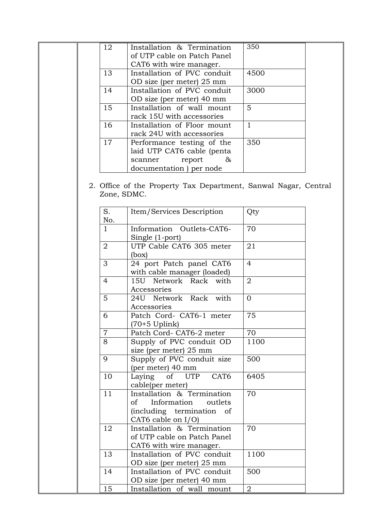| 12 | Installation & Termination<br>of UTP cable on Patch Panel | 350  |  |
|----|-----------------------------------------------------------|------|--|
|    | CAT6 with wire manager.                                   |      |  |
| 13 | Installation of PVC conduit                               | 4500 |  |
|    | OD size (per meter) 25 mm                                 |      |  |
| 14 | Installation of PVC conduit                               | 3000 |  |
|    | OD size (per meter) 40 mm                                 |      |  |
| 15 | Installation of wall mount                                | 5    |  |
|    | rack 15U with accessories                                 |      |  |
| 16 | Installation of Floor mount                               |      |  |
|    | rack 24U with accessories                                 |      |  |
| 17 | Performance testing of the                                | 350  |  |
|    | laid UTP CAT6 cable (penta                                |      |  |
|    | $\&$<br>report<br>scanner                                 |      |  |
|    | documentation) per node                                   |      |  |

2. Office of the Property Tax Department, Sanwal Nagar, Central Zone, SDMC.

| S.<br>No.      | Item/Services Description                                                                                  | Qty             |
|----------------|------------------------------------------------------------------------------------------------------------|-----------------|
| $\mathbf{1}$   | Information Outlets-CAT6-<br>Single (1-port)                                                               | 70              |
| $\overline{2}$ | UTP Cable CAT6 305 meter<br>(box)                                                                          | 21              |
| 3              | 24 port Patch panel CAT6<br>with cable manager (loaded)                                                    | $\overline{4}$  |
| $\overline{4}$ | 15U Network Rack with<br>Accessories                                                                       | $\overline{2}$  |
| 5              | 24U Network Rack with<br>Accessories                                                                       | $\overline{0}$  |
| 6              | Patch Cord- CAT6-1 meter<br>(70+5 Uplink)                                                                  | 75              |
| $\overline{7}$ | Patch Cord-CAT6-2 meter                                                                                    | 70              |
| 8              | Supply of PVC conduit OD<br>size (per meter) 25 mm                                                         | 1100            |
| 9              | Supply of PVC conduit size<br>(per meter) 40 mm                                                            | 500             |
| 10             | Laying of UTP CAT6<br>cable(per meter)                                                                     | 6405            |
| 11             | Installation & Termination<br>Information outlets<br>of<br>(including termination of<br>CAT6 cable on I/O) | $\overline{70}$ |
| 12             | Installation & Termination<br>of UTP cable on Patch Panel<br>CAT6 with wire manager.                       | 70              |
| 13             | Installation of PVC conduit<br>OD size (per meter) 25 mm                                                   | 1100            |
| 14             | Installation of PVC conduit<br>OD size (per meter) 40 mm                                                   | 500             |
| 15             | Installation of wall mount                                                                                 | $\overline{2}$  |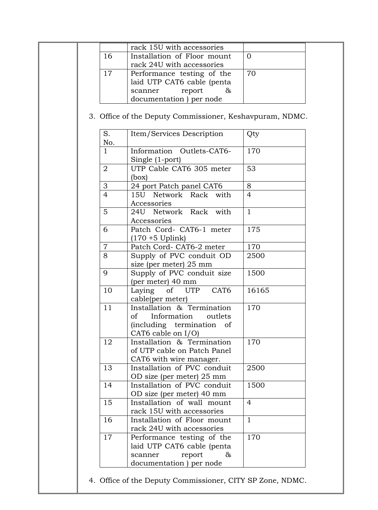|                | rack 24U with accessories                                                                                           |                |
|----------------|---------------------------------------------------------------------------------------------------------------------|----------------|
| 17             | Performance testing of the<br>laid UTP CAT6 cable (penta<br>report<br>&<br>scanner<br>documentation) per node       | 70             |
|                | 3. Office of the Deputy Commissioner, Keshavpuram, NDMC.                                                            |                |
| S.<br>No.      | Item/Services Description                                                                                           | Qty            |
| $\mathbf{1}$   | Information Outlets-CAT6-<br>Single (1-port)                                                                        | 170            |
| $\overline{2}$ | UTP Cable CAT6 305 meter<br>(box)                                                                                   | 53             |
| $\mathfrak{Z}$ | 24 port Patch panel CAT6                                                                                            | 8              |
| $\overline{4}$ | 15U Network Rack with<br>Accessories                                                                                | $\overline{4}$ |
| 5              | 24U Network Rack<br>with<br>Accessories                                                                             | $\mathbf{1}$   |
| 6              | Patch Cord- CAT6-1 meter<br>$(170 + 5$ Uplink)                                                                      | 175            |
| $\overline{7}$ | Patch Cord- CAT6-2 meter                                                                                            | 170            |
| 8              | Supply of PVC conduit OD<br>size (per meter) 25 mm                                                                  | 2500           |
| 9              | Supply of PVC conduit size<br>(per meter) 40 mm                                                                     | 1500           |
| 10             | CAT6<br>of UTP<br>Laying<br>cable(per meter)                                                                        | 16165          |
| 11             | Installation & Termination<br>Information<br>outlets<br>οf<br>(including termination<br>of<br>CAT6 cable on $I/O$ ) | 170            |
| 12             | Installation & Termination<br>of UTP cable on Patch Panel<br>CAT6 with wire manager.                                | 170            |
| 13             | Installation of PVC conduit<br>OD size (per meter) 25 mm                                                            | 2500           |
| 14             | Installation of PVC conduit<br>OD size (per meter) 40 mm                                                            | 1500           |
| 15             | Installation of wall mount<br>rack 15U with accessories                                                             | $\overline{4}$ |
| 16             | Installation of Floor mount<br>rack 24U with accessories                                                            | $\mathbf{1}$   |
| 17             | Performance testing of the<br>laid UTP CAT6 cable (penta<br>report<br>&<br>scanner<br>documentation ) per node      | 170            |

I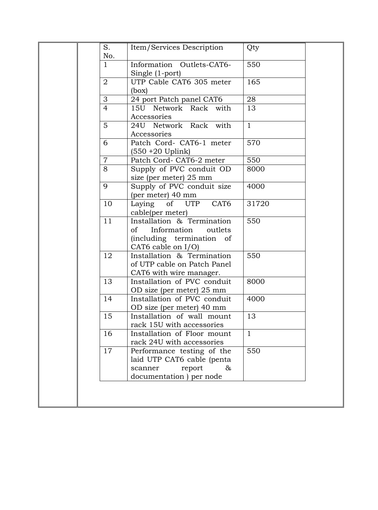| S.<br>No.      | Item/Services Description                                                                                      | Qty          |
|----------------|----------------------------------------------------------------------------------------------------------------|--------------|
| $\mathbf{1}$   | Information Outlets-CAT6-<br>Single (1-port)                                                                   | 550          |
| $\overline{2}$ | UTP Cable CAT6 305 meter<br>(box)                                                                              | 165          |
| 3              | 24 port Patch panel CAT6                                                                                       | 28           |
| $\overline{4}$ | 15U Network Rack with<br>Accessories                                                                           | 13           |
| 5              | 24U Network Rack with<br>Accessories                                                                           | $\mathbf{1}$ |
| 6              | Patch Cord- CAT6-1 meter<br>$(550 + 20$ Uplink)                                                                | 570          |
| $\overline{7}$ | Patch Cord- CAT6-2 meter                                                                                       | 550          |
| 8              | Supply of PVC conduit OD<br>size (per meter) 25 mm                                                             | 8000         |
| 9              | Supply of PVC conduit size<br>(per meter) 40 mm                                                                | 4000         |
| 10             | Laying of UTP CAT6<br>cable(per meter)                                                                         | 31720        |
| 11             | Installation & Termination<br>of<br>Information<br>outlets<br>(including termination of<br>CAT6 cable on I/O)  | 550          |
| 12             | Installation & Termination<br>of UTP cable on Patch Panel<br>CAT6 with wire manager.                           | 550          |
| 13             | Installation of PVC conduit<br>OD size (per meter) 25 mm                                                       | 8000         |
| 14             | Installation of PVC conduit<br>OD size (per meter) 40 mm                                                       | 4000         |
| 15             | Installation of wall mount<br>rack 15U with accessories                                                        | 13           |
| 16             | Installation of Floor mount<br>rack 24U with accessories                                                       | $\mathbf{1}$ |
| 17             | Performance testing of the<br>laid UTP CAT6 cable (penta<br>report<br>&<br>scanner<br>documentation ) per node | 550          |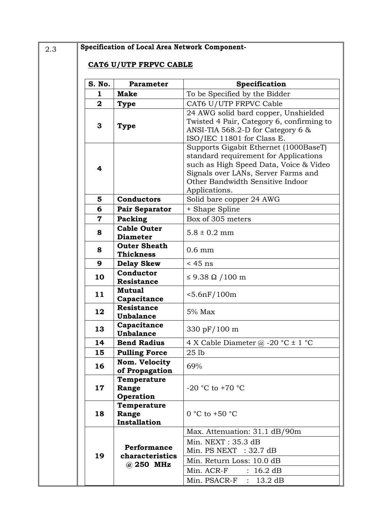# 2.3 **Specification of Local Area Network Component-**

## **CAT6 U/UTP FRPVC CABLE**

| S. No.       | <b>Parameter</b>                                       | Specification                                                                                                                                                                                                        |
|--------------|--------------------------------------------------------|----------------------------------------------------------------------------------------------------------------------------------------------------------------------------------------------------------------------|
| 1            | <b>Make</b>                                            | To be Specified by the Bidder                                                                                                                                                                                        |
| $\mathbf{2}$ | <b>Type</b>                                            | CAT6 U/UTP FRPVC Cable                                                                                                                                                                                               |
| 3            | Type                                                   | 24 AWG solid bard copper, Unshielded<br>Twisted 4 Pair, Category 6, confirming to<br>ANSI-TIA 568.2-D for Category 6 $\&$<br>ISO/IEC 11801 for Class E.                                                              |
| 4            |                                                        | Supports Gigabit Ethernet (1000BaseT)<br>standard requirement for Applications<br>such as High Speed Data, Voice & Video<br>Signals over LANs, Server Farms and<br>Other Bandwidth Sensitive Indoor<br>Applications. |
| 5            | <b>Conductors</b>                                      | Solid bare copper 24 AWG                                                                                                                                                                                             |
| 6            | <b>Pair Separator</b>                                  | + Shape Spline                                                                                                                                                                                                       |
| 7            | Packing                                                | Box of 305 meters                                                                                                                                                                                                    |
| 8            | <b>Cable Outer</b><br><b>Diameter</b>                  | $5.8 \pm 0.2$ mm                                                                                                                                                                                                     |
| 8            | <b>Outer Sheath</b><br><b>Thickness</b>                | $0.6$ mm                                                                                                                                                                                                             |
| 9            | <b>Delay Skew</b>                                      | $<$ 45 ns                                                                                                                                                                                                            |
| 10           | Conductor<br><b>Resistance</b>                         | $\leq$ 9.38 $\Omega$ /100 m                                                                                                                                                                                          |
| 11           | <b>Mutual</b><br>Capacitance                           | $< 5.6$ n $F/100$ m                                                                                                                                                                                                  |
| 12           | <b>Resistance</b><br><b>Unbalance</b>                  | $5%$ Max                                                                                                                                                                                                             |
| 13           | Capacitance<br><b>Unbalance</b>                        | 330 pF/100 m                                                                                                                                                                                                         |
| 14           | <b>Bend Radius</b>                                     | 4 X Cable Diameter $\omega$ -20 °C $\pm$ 1 °C                                                                                                                                                                        |
| 15           | <b>Pulling Force</b>                                   | 25 <sub>1b</sub>                                                                                                                                                                                                     |
| 16           | Nom. Velocity<br>of Propagation                        | 69%                                                                                                                                                                                                                  |
| 17           | Temperature<br>Range<br><b>Operation</b>               | -20 °C to +70 °C                                                                                                                                                                                                     |
| 18           | Temperature<br>Range<br>Installation                   | 0 °C to +50 °C                                                                                                                                                                                                       |
| 19           | <b>Performance</b><br>characteristics<br>$(a)$ 250 MHz | Max. Attenuation: 31.1 dB/90m<br>Min. NEXT: 35.3 dB<br>Min. PS NEXT : $32.7 \text{ dB}$<br>Min. Return Loss: 10.0 dB<br>Min. ACR-F<br>16.2 dB<br>$\mathbb{R}^{\mathbb{Z}}$<br>Min. PSACR-F $: 13.2 \text{ dB}$       |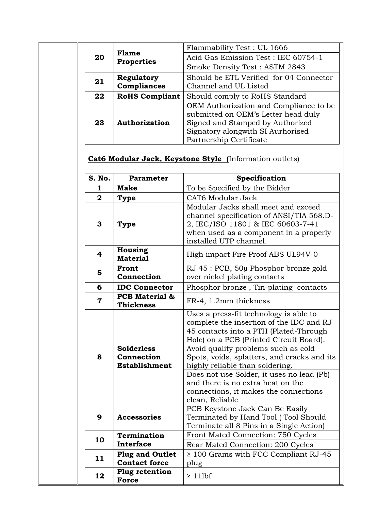|  |    | <b>Flame</b><br><b>Properties</b> | Flammability Test: UL 1666                                                                                                                                                        |
|--|----|-----------------------------------|-----------------------------------------------------------------------------------------------------------------------------------------------------------------------------------|
|  | 20 |                                   | Acid Gas Emission Test: IEC 60754-1                                                                                                                                               |
|  |    |                                   | Smoke Density Test: ASTM 2843                                                                                                                                                     |
|  | 21 | Regulatory<br>Compliances         | Should be ETL Verified for 04 Connector<br>Channel and UL Listed                                                                                                                  |
|  | 22 | <b>RoHS Compliant</b>             | Should comply to RoHS Standard                                                                                                                                                    |
|  | 23 | Authorization                     | OEM Authorization and Compliance to be<br>submitted on OEM's Letter head duly<br>Signed and Stamped by Authorized<br>Signatory alongwith SI Aurhorised<br>Partnership Certificate |

# **Cat6 Modular Jack, Keystone Style (**Information outlets)

| S. No.                  | <b>Parameter</b>                                        | Specification                                                                                                                                                                                                                                                                                                                                                                                                                                   |
|-------------------------|---------------------------------------------------------|-------------------------------------------------------------------------------------------------------------------------------------------------------------------------------------------------------------------------------------------------------------------------------------------------------------------------------------------------------------------------------------------------------------------------------------------------|
| $\mathbf{1}$            | <b>Make</b>                                             | To be Specified by the Bidder                                                                                                                                                                                                                                                                                                                                                                                                                   |
| $\overline{2}$          | <b>Type</b>                                             | CAT6 Modular Jack                                                                                                                                                                                                                                                                                                                                                                                                                               |
| 3                       | Type                                                    | Modular Jacks shall meet and exceed<br>channel specification of ANSI/TIA 568.D-<br>2, IEC/ISO 11801 & IEC 60603-7-41<br>when used as a component in a properly<br>installed UTP channel.                                                                                                                                                                                                                                                        |
| $\overline{\mathbf{4}}$ | Housing<br><b>Material</b>                              | High impact Fire Proof ABS UL94V-0                                                                                                                                                                                                                                                                                                                                                                                                              |
| 5                       | Front<br>Connection                                     | RJ 45 : PCB, 50µ Phosphor bronze gold<br>over nickel plating contacts                                                                                                                                                                                                                                                                                                                                                                           |
| 6                       | <b>IDC Connector</b>                                    | Phosphor bronze, Tin-plating contacts                                                                                                                                                                                                                                                                                                                                                                                                           |
| 7                       | PCB Material &<br><b>Thickness</b>                      | FR-4, 1.2mm thickness                                                                                                                                                                                                                                                                                                                                                                                                                           |
| 8                       | <b>Solderless</b><br>Connection<br><b>Establishment</b> | Uses a press-fit technology is able to<br>complete the insertion of the IDC and RJ-<br>45 contacts into a PTH (Plated-Through<br>Hole) on a PCB (Printed Circuit Board).<br>Avoid quality problems such as cold<br>Spots, voids, splatters, and cracks and its<br>highly reliable than soldering.<br>Does not use Solder, it uses no lead (Pb)<br>and there is no extra heat on the<br>connections, it makes the connections<br>clean, Reliable |
| 9                       | <b>Accessories</b>                                      | PCB Keystone Jack Can Be Easily<br>Terminated by Hand Tool (Tool Should<br>Terminate all 8 Pins in a Single Action)                                                                                                                                                                                                                                                                                                                             |
| 10                      | Termination<br><b>Interface</b>                         | Front Mated Connection: 750 Cycles<br>Rear Mated Connection: 200 Cycles                                                                                                                                                                                                                                                                                                                                                                         |
| 11                      | <b>Plug and Outlet</b><br><b>Contact force</b>          | $\geq$ 100 Grams with FCC Compliant RJ-45<br>plug                                                                                                                                                                                                                                                                                                                                                                                               |
| 12                      | Plug retention<br><b>Force</b>                          | $\geq 11$ lbf                                                                                                                                                                                                                                                                                                                                                                                                                                   |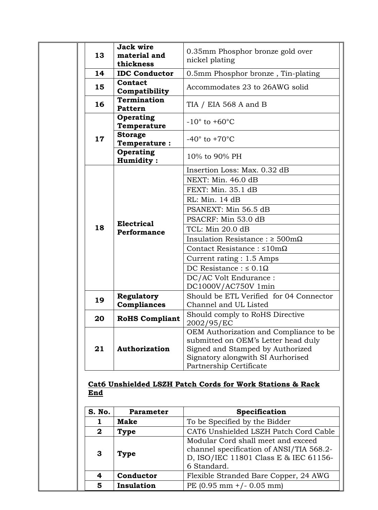| 13 | <b>Jack wire</b><br>material and<br>thickness | 0.35mm Phosphor bronze gold over<br>nickel plating                                                                                                                                |
|----|-----------------------------------------------|-----------------------------------------------------------------------------------------------------------------------------------------------------------------------------------|
| 14 | <b>IDC Conductor</b>                          | 0.5mm Phosphor bronze, Tin-plating                                                                                                                                                |
| 15 | Contact<br>Compatibility                      | Accommodates 23 to 26AWG solid                                                                                                                                                    |
| 16 | <b>Termination</b><br><b>Pattern</b>          | TIA / EIA 568 A and B                                                                                                                                                             |
|    | Operating<br>Temperature                      | $-10^{\circ}$ to $+60^{\circ}$ C                                                                                                                                                  |
| 17 | <b>Storage</b><br><b>Temperature:</b>         | $-40^\circ$ to $+70^\circ$ C                                                                                                                                                      |
|    | <b>Operating</b><br>Humidity:                 | 10% to 90% PH                                                                                                                                                                     |
|    |                                               | Insertion Loss: Max. 0.32 dB                                                                                                                                                      |
|    |                                               | NEXT: Min. 46.0 dB                                                                                                                                                                |
|    |                                               | FEXT: Min. 35.1 dB                                                                                                                                                                |
|    |                                               | RL: Min. 14 dB                                                                                                                                                                    |
|    |                                               | PSANEXT: Min 56.5 dB                                                                                                                                                              |
|    |                                               | PSACRF: Min 53.0 dB                                                                                                                                                               |
| 18 | <b>Electrical</b><br>Performance              | TCL: Min 20.0 dB                                                                                                                                                                  |
|    |                                               | Insulation Resistance : $\geq 500 \text{m}\Omega$                                                                                                                                 |
|    |                                               | Contact Resistance: $\leq 10 \text{m}\Omega$                                                                                                                                      |
|    |                                               | Current rating : 1.5 Amps                                                                                                                                                         |
|    |                                               | DC Resistance : $\leq 0.1\Omega$                                                                                                                                                  |
|    |                                               | DC/AC Volt Endurance :<br>DC1000V/AC750V 1min                                                                                                                                     |
| 19 | Regulatory                                    | Should be ETL Verified for 04 Connector                                                                                                                                           |
|    | Compliances                                   | Channel and UL Listed                                                                                                                                                             |
| 20 | <b>RoHS Compliant</b>                         | Should comply to RoHS Directive<br>2002/95/EC                                                                                                                                     |
| 21 | Authorization                                 | OEM Authorization and Compliance to be<br>submitted on OEM's Letter head duly<br>Signed and Stamped by Authorized<br>Signatory alongwith SI Aurhorised<br>Partnership Certificate |

**Cat6 Unshielded LSZH Patch Cords for Work Stations & Rack End**

| S. No.       | <b>Parameter</b> | Specification                                                                                                                          |
|--------------|------------------|----------------------------------------------------------------------------------------------------------------------------------------|
|              | <b>Make</b>      | To be Specified by the Bidder                                                                                                          |
| $\mathbf{2}$ | <b>Type</b>      | CAT6 Unshielded LSZH Patch Cord Cable                                                                                                  |
| 3            | <b>Type</b>      | Modular Cord shall meet and exceed<br>channel specification of ANSI/TIA 568.2-<br>D, ISO/IEC 11801 Class E & IEC 61156-<br>6 Standard. |
| 4            | Conductor        | Flexible Stranded Bare Copper, 24 AWG                                                                                                  |
| 5            | Insulation       | PE (0.95 mm +/- 0.05 mm)                                                                                                               |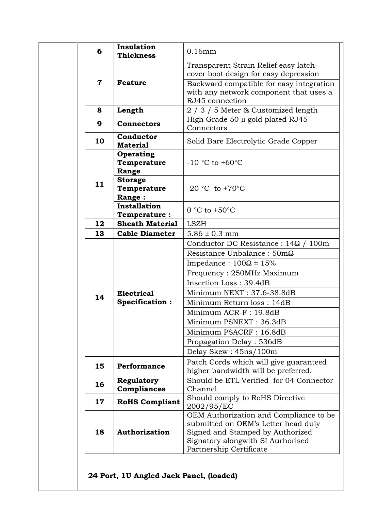| 6           | Insulation<br><b>Thickness</b>           | $0.16$ mm                                                                                                                                                                         |
|-------------|------------------------------------------|-----------------------------------------------------------------------------------------------------------------------------------------------------------------------------------|
| $\mathbf 7$ | <b>Feature</b>                           | Transparent Strain Relief easy latch-<br>cover boot design for easy depression<br>Backward compatible for easy integration<br>with any network component that uses a              |
|             |                                          | RJ45 connection                                                                                                                                                                   |
| 8           | Length                                   | 2 / 3 / 5 Meter & Customized length                                                                                                                                               |
| 9           | <b>Connectors</b>                        | High Grade 50 µ gold plated RJ45<br>Connectors                                                                                                                                    |
| 10          | Conductor<br><b>Material</b>             | Solid Bare Electrolytic Grade Copper                                                                                                                                              |
|             | <b>Operating</b><br>Temperature<br>Range | $-10$ °C to $+60$ °C                                                                                                                                                              |
| 11          | <b>Storage</b><br>Temperature<br>Range:  | $-20$ °C to $+70$ °C                                                                                                                                                              |
|             | Installation<br>Temperature:             | $0 °C$ to $+50 °C$                                                                                                                                                                |
| 12          | <b>Sheath Material</b>                   | <b>LSZH</b>                                                                                                                                                                       |
| 13          | <b>Cable Diameter</b>                    | $5.86 \pm 0.3$ mm                                                                                                                                                                 |
|             |                                          | Conductor DC Resistance : 14Ω /<br>100m                                                                                                                                           |
|             |                                          | Resistance Unbalance: $50 \text{m}\Omega$                                                                                                                                         |
|             |                                          | Impedance : $100\Omega \pm 15\%$                                                                                                                                                  |
|             |                                          | Frequency: 250MHz Maximum                                                                                                                                                         |
|             |                                          | Insertion Loss: 39.4dB                                                                                                                                                            |
|             | <b>Electrical</b>                        | Minimum NEXT: 37.6-38.8dB                                                                                                                                                         |
| 14          | Specification:                           | Minimum Return loss: 14dB                                                                                                                                                         |
|             |                                          | Minimum ACR-F: 19.8dB                                                                                                                                                             |
|             |                                          | Minimum PSNEXT: 36.3dB                                                                                                                                                            |
|             |                                          |                                                                                                                                                                                   |
|             |                                          | Minimum PSACRF: 16.8dB                                                                                                                                                            |
|             |                                          | Propagation Delay: 536dB                                                                                                                                                          |
|             |                                          | Delay Skew: 45ns/100m                                                                                                                                                             |
| 15          | <b>Performance</b>                       | Patch Cords which will give guaranteed<br>higher bandwidth will be preferred.                                                                                                     |
| 16          | Regulatory<br>Compliances                | Should be ETL Verified for 04 Connector<br>Channel.                                                                                                                               |
| 17          | <b>RoHS Compliant</b>                    | Should comply to RoHS Directive<br>2002/95/EC                                                                                                                                     |
| 18          | Authorization                            | OEM Authorization and Compliance to be<br>submitted on OEM's Letter head duly<br>Signed and Stamped by Authorized<br>Signatory alongwith SI Aurhorised<br>Partnership Certificate |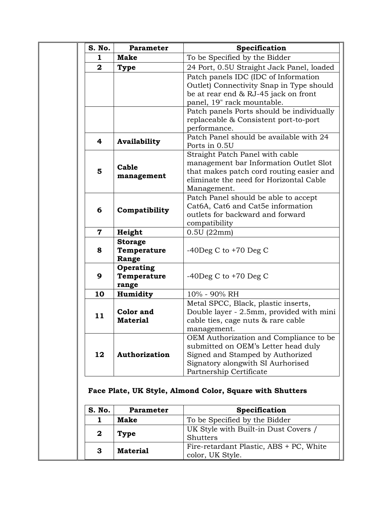| S. No.                  | <b>Parameter</b>                       | Specification                                                                                                                                                                     |
|-------------------------|----------------------------------------|-----------------------------------------------------------------------------------------------------------------------------------------------------------------------------------|
| 1                       | <b>Make</b>                            | To be Specified by the Bidder                                                                                                                                                     |
| $\overline{2}$          | <b>Type</b>                            | 24 Port, 0.5U Straight Jack Panel, loaded                                                                                                                                         |
|                         |                                        | Patch panels IDC (IDC of Information<br>Outlet) Connectivity Snap in Type should<br>be at rear end & RJ-45 jack on front<br>panel, 19" rack mountable.                            |
|                         |                                        | Patch panels Ports should be individually<br>replaceable & Consistent port-to-port<br>performance.                                                                                |
| 4                       | Availability                           | Patch Panel should be available with 24<br>Ports in 0.5U                                                                                                                          |
| 5                       | Cable<br>management                    | Straight Patch Panel with cable<br>management bar Information Outlet Slot<br>that makes patch cord routing easier and<br>eliminate the need for Horizontal Cable<br>Management.   |
| 6                       | Compatibility                          | Patch Panel should be able to accept<br>Cat6A, Cat6 and Cat5e information<br>outlets for backward and forward<br>compatibility                                                    |
| $\overline{\mathbf{7}}$ | Height                                 | 0.5U(22mm)                                                                                                                                                                        |
| 8                       | <b>Storage</b><br>Temperature<br>Range | $-40$ Deg C to $+70$ Deg C                                                                                                                                                        |
| 9                       | Operating<br>Temperature<br>range      | $-40$ Deg C to $+70$ Deg C                                                                                                                                                        |
| 10                      | Humidity                               | 10% - 90% RH                                                                                                                                                                      |
| 11                      | Color and<br><b>Material</b>           | Metal SPCC, Black, plastic inserts,<br>Double layer - 2.5mm, provided with mini<br>cable ties, cage nuts & rare cable<br>management.                                              |
| 12                      | Authorization                          | OEM Authorization and Compliance to be<br>submitted on OEM's Letter head duly<br>Signed and Stamped by Authorized<br>Signatory alongwith SI Aurhorised<br>Partnership Certificate |
|                         |                                        | Face Plate, UK Style, Almond Color, Square with Shutters                                                                                                                          |
| S. No.                  | Parameter                              | Specification                                                                                                                                                                     |
| 1<br>$\mathbf 2$        | <b>Make</b><br>Type                    | To be Specified by the Bidder<br>UK Style with Built-in Dust Covers /<br><b>Shutters</b>                                                                                          |
| 3                       | <b>Material</b>                        | Fire-retardant Plastic, ABS + PC, White<br>color, UK Style.                                                                                                                       |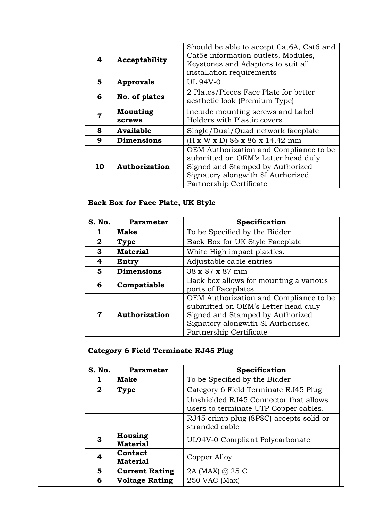| 4  | Acceptability             | Should be able to accept Cat6A, Cat6 and<br>Cat5e information outlets, Modules,<br>Keystones and Adaptors to suit all<br>installation requirements                                |
|----|---------------------------|-----------------------------------------------------------------------------------------------------------------------------------------------------------------------------------|
| 5. | Approvals                 | <b>UL 94V-0</b>                                                                                                                                                                   |
| 6  | No. of plates             | 2 Plates/Pieces Face Plate for better<br>aesthetic look (Premium Type)                                                                                                            |
| 7  | Mounting<br><b>screws</b> | Include mounting screws and Label<br>Holders with Plastic covers                                                                                                                  |
| 8  | <b>Available</b>          | Single/Dual/Quad network faceplate                                                                                                                                                |
| 9  | <b>Dimensions</b>         | $(H \times W \times D)$ 86 x 86 x 14.42 mm                                                                                                                                        |
| 10 | Authorization             | OEM Authorization and Compliance to be<br>submitted on OEM's Letter head duly<br>Signed and Stamped by Authorized<br>Signatory alongwith SI Aurhorised<br>Partnership Certificate |

# **Back Box for Face Plate, UK Style**

| S. No.      | <b>Parameter</b>  | Specification                                                                                                                                                                     |
|-------------|-------------------|-----------------------------------------------------------------------------------------------------------------------------------------------------------------------------------|
| 1           | <b>Make</b>       | To be Specified by the Bidder                                                                                                                                                     |
| $\mathbf 2$ | <b>Type</b>       | Back Box for UK Style Faceplate                                                                                                                                                   |
| 3           | <b>Material</b>   | White High impact plastics.                                                                                                                                                       |
| 4           | Entry             | Adjustable cable entries                                                                                                                                                          |
| 5           | <b>Dimensions</b> | 38 x 87 x 87 mm                                                                                                                                                                   |
| 6           | Compatiable       | Back box allows for mounting a various<br>ports of Faceplates                                                                                                                     |
| 7           | Authorization     | OEM Authorization and Compliance to be<br>submitted on OEM's Letter head duly<br>Signed and Stamped by Authorized<br>Signatory alongwith SI Aurhorised<br>Partnership Certificate |

# **Category 6 Field Terminate RJ45 Plug**

| S. No.       | <b>Parameter</b>           | Specification                                                                  |
|--------------|----------------------------|--------------------------------------------------------------------------------|
|              | Make                       | To be Specified by the Bidder                                                  |
| $\mathbf{2}$ | <b>Type</b>                | Category 6 Field Terminate RJ45 Plug                                           |
|              |                            | Unshielded RJ45 Connector that allows<br>users to terminate UTP Copper cables. |
|              |                            | RJ45 crimp plug (8P8C) accepts solid or<br>stranded cable                      |
| 3            | Housing<br><b>Material</b> | UL94V-0 Compliant Polycarbonate                                                |
| 4            | Contact<br><b>Material</b> | Copper Alloy                                                                   |
| 5            | <b>Current Rating</b>      | 2A (MAX) @ 25 C                                                                |
| 6            | <b>Voltage Rating</b>      | 250 VAC (Max)                                                                  |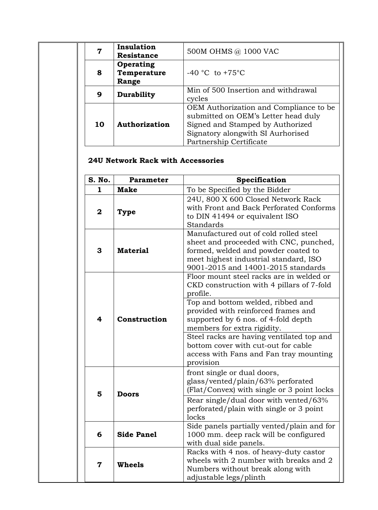|    | Insulation<br><b>Resistance</b>   | 500M OHMS @ 1000 VAC                                                                                                                                                              |
|----|-----------------------------------|-----------------------------------------------------------------------------------------------------------------------------------------------------------------------------------|
| 8  | Operating<br>Temperature<br>Range | $-40$ °C to $+75$ °C                                                                                                                                                              |
| 9  | <b>Durability</b>                 | Min of 500 Insertion and withdrawal<br>cycles                                                                                                                                     |
| 10 | Authorization                     | OEM Authorization and Compliance to be<br>submitted on OEM's Letter head duly<br>Signed and Stamped by Authorized<br>Signatory alongwith SI Aurhorised<br>Partnership Certificate |

# **24U Network Rack with Accessories**

| S. No.                                                                                                 | <b>Parameter</b>  | Specification                                                                                                                                                                                         |  |  |
|--------------------------------------------------------------------------------------------------------|-------------------|-------------------------------------------------------------------------------------------------------------------------------------------------------------------------------------------------------|--|--|
| $\mathbf{1}$                                                                                           | <b>Make</b>       | To be Specified by the Bidder                                                                                                                                                                         |  |  |
| $\mathbf{2}$                                                                                           | Type              | 24U, 800 X 600 Closed Network Rack<br>with Front and Back Perforated Conforms<br>to DIN 41494 or equivalent ISO<br>Standards                                                                          |  |  |
| 3                                                                                                      | <b>Material</b>   | Manufactured out of cold rolled steel<br>sheet and proceeded with CNC, punched,<br>formed, welded and powder coated to<br>meet highest industrial standard, ISO<br>9001-2015 and 14001-2015 standards |  |  |
|                                                                                                        |                   | Floor mount steel racks are in welded or<br>CKD construction with 4 pillars of 7-fold<br>profile.                                                                                                     |  |  |
| $\overline{\mathbf{4}}$                                                                                | Construction      | Top and bottom welded, ribbed and<br>provided with reinforced frames and<br>supported by 6 nos. of 4-fold depth<br>members for extra rigidity.                                                        |  |  |
|                                                                                                        |                   | Steel racks are having ventilated top and<br>bottom cover with cut-out for cable<br>access with Fans and Fan tray mounting<br>provision                                                               |  |  |
| 5                                                                                                      | <b>Doors</b>      | front single or dual doors,<br>glass/vented/plain/63% perforated<br>(Flat/Convex) with single or 3 point locks                                                                                        |  |  |
|                                                                                                        |                   | Rear single/dual door with vented/63%<br>perforated/plain with single or 3 point<br>locks                                                                                                             |  |  |
| 6                                                                                                      | <b>Side Panel</b> | Side panels partially vented/plain and for<br>1000 mm. deep rack will be configured<br>with dual side panels.                                                                                         |  |  |
| <b>Wheels</b><br>$\overline{\mathbf{7}}$<br>Numbers without break along with<br>adjustable legs/plinth |                   | Racks with 4 nos. of heavy-duty castor<br>wheels with 2 number with breaks and 2                                                                                                                      |  |  |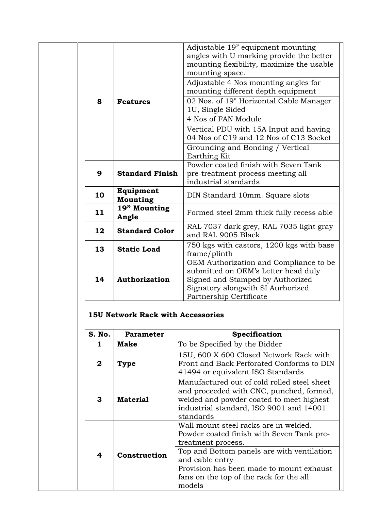|                                                 |                              | Adjustable 19" equipment mounting<br>angles with U marking provide the better<br>mounting flexibility, maximize the usable<br>mounting space.                                     |
|-------------------------------------------------|------------------------------|-----------------------------------------------------------------------------------------------------------------------------------------------------------------------------------|
| 8                                               | <b>Features</b>              | Adjustable 4 Nos mounting angles for<br>mounting different depth equipment                                                                                                        |
|                                                 |                              | 02 Nos. of 19" Horizontal Cable Manager<br>1U, Single Sided                                                                                                                       |
|                                                 |                              | 4 Nos of FAN Module                                                                                                                                                               |
|                                                 |                              | Vertical PDU with 15A Input and having<br>04 Nos of C19 and 12 Nos of C13 Socket                                                                                                  |
|                                                 |                              | Grounding and Bonding / Vertical<br>Earthing Kit                                                                                                                                  |
| <b>Standard Finish</b><br>9                     |                              | Powder coated finish with Seven Tank<br>pre-treatment process meeting all<br>industrial standards                                                                                 |
| 10                                              | Equipment<br><b>Mounting</b> | DIN Standard 10mm. Square slots                                                                                                                                                   |
| 11                                              | 19" Mounting<br>Angle        | Formed steel 2mm thick fully recess able                                                                                                                                          |
| 12                                              | <b>Standard Color</b>        | RAL 7037 dark grey, RAL 7035 light gray<br>and RAL 9005 Black                                                                                                                     |
| 13<br><b>Static Load</b><br>14<br>Authorization |                              | 750 kgs with castors, 1200 kgs with base<br>frame/plinth                                                                                                                          |
|                                                 |                              | OEM Authorization and Compliance to be<br>submitted on OEM's Letter head duly<br>Signed and Stamped by Authorized<br>Signatory alongwith SI Aurhorised<br>Partnership Certificate |

## **15U Network Rack with Accessories**

| S. No.                  | <b>Parameter</b>                                                                                                                                                                                               | Specification                                                                                                                                                                                                                                                              |  |
|-------------------------|----------------------------------------------------------------------------------------------------------------------------------------------------------------------------------------------------------------|----------------------------------------------------------------------------------------------------------------------------------------------------------------------------------------------------------------------------------------------------------------------------|--|
|                         | <b>Make</b>                                                                                                                                                                                                    | To be Specified by the Bidder                                                                                                                                                                                                                                              |  |
| $\mathbf{2}$            | 15U, 600 X 600 Closed Network Rack with<br>Front and Back Perforated Conforms to DIN<br>Type<br>41494 or equivalent ISO Standards                                                                              |                                                                                                                                                                                                                                                                            |  |
| 3                       | Manufactured out of cold rolled steel sheet<br>and proceeded with CNC, punched, formed,<br>welded and powder coated to meet highest<br><b>Material</b><br>industrial standard, ISO 9001 and 14001<br>standards |                                                                                                                                                                                                                                                                            |  |
| $\overline{\mathbf{4}}$ | Construction                                                                                                                                                                                                   | Wall mount steel racks are in welded.<br>Powder coated finish with Seven Tank pre-<br>treatment process.<br>Top and Bottom panels are with ventilation<br>and cable entry<br>Provision has been made to mount exhaust<br>fans on the top of the rack for the all<br>models |  |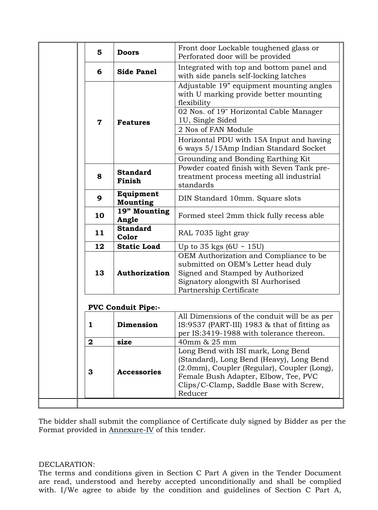| 5                                                             | <b>Doors</b>                 | Front door Lockable toughened glass or<br>Perforated door will be provided                                                                                                                                      |
|---------------------------------------------------------------|------------------------------|-----------------------------------------------------------------------------------------------------------------------------------------------------------------------------------------------------------------|
| <b>Side Panel</b><br>6                                        |                              | Integrated with top and bottom panel and<br>with side panels self-locking latches                                                                                                                               |
|                                                               |                              | Adjustable 19" equipment mounting angles<br>with U marking provide better mounting<br>flexibility                                                                                                               |
| $\overline{\mathbf{7}}$                                       | <b>Features</b>              | 02 Nos. of 19" Horizontal Cable Manager<br>1U, Single Sided                                                                                                                                                     |
|                                                               |                              | 2 Nos of FAN Module                                                                                                                                                                                             |
|                                                               |                              | Horizontal PDU with 15A Input and having<br>6 ways 5/15Amp Indian Standard Socket                                                                                                                               |
|                                                               |                              | Grounding and Bonding Earthing Kit                                                                                                                                                                              |
| 8                                                             | <b>Standard</b><br>Finish    | Powder coated finish with Seven Tank pre-<br>treatment process meeting all industrial<br>standards                                                                                                              |
| 9                                                             | Equipment<br><b>Mounting</b> | DIN Standard 10mm. Square slots                                                                                                                                                                                 |
| 19" Mounting<br>10<br>Angle<br><b>Standard</b><br>11<br>Color |                              | Formed steel 2mm thick fully recess able                                                                                                                                                                        |
|                                                               |                              | RAL 7035 light gray                                                                                                                                                                                             |
| 12                                                            | <b>Static Load</b>           | Up to 35 kgs $(6U \sim 15U)$                                                                                                                                                                                    |
| 13<br>Authorization                                           |                              | OEM Authorization and Compliance to be<br>submitted on OEM's Letter head duly<br>Signed and Stamped by Authorized<br>Signatory alongwith SI Aurhorised<br>Partnership Certificate                               |
|                                                               | <b>PVC Conduit Pipe:-</b>    |                                                                                                                                                                                                                 |
| 1                                                             | Dimension                    | All Dimensions of the conduit will be as per<br>IS:9537 (PART-III) 1983 $&$ that of fitting as<br>per IS:3419-1988 with tolerance thereon.                                                                      |
| $\boldsymbol{2}$                                              | size                         | 40mm & 25 mm                                                                                                                                                                                                    |
| 3                                                             | <b>Accessories</b>           | Long Bend with ISI mark, Long Bend<br>(Standard), Long Bend (Heavy), Long Bend<br>(2.0mm), Coupler (Regular), Coupler (Long),<br>Female Bush Adapter, Elbow, Tee, PVC<br>Clips/C-Clamp, Saddle Base with Screw, |

The bidder shall submit the compliance of Certificate duly signed by Bidder as per the Format provided in Annexure-IV of this tender.

### DECLARATION:

The terms and conditions given in Section C Part A given in the Tender Document are read, understood and hereby accepted unconditionally and shall be complied with. I/We agree to abide by the condition and guidelines of Section C Part A,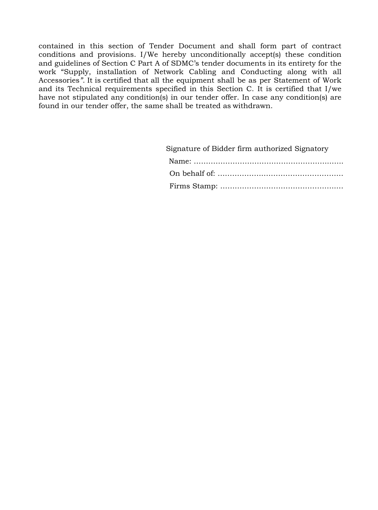contained in this section of Tender Document and shall form part of contract conditions and provisions. I/We hereby unconditionally accept(s) these condition and guidelines of Section C Part A of SDMC's tender documents in its entirety for the work "Supply, installation of Network Cabling and Conducting along with all Accessories<sup>"</sup>. It is certified that all the equipment shall be as per Statement of Work and its Technical requirements specified in this Section C. It is certified that I/we have not stipulated any condition(s) in our tender offer. In case any condition(s) are found in our tender offer, the same shall be treated as withdrawn.

| Signature of Bidder firm authorized Signatory |
|-----------------------------------------------|
|                                               |
|                                               |
|                                               |
|                                               |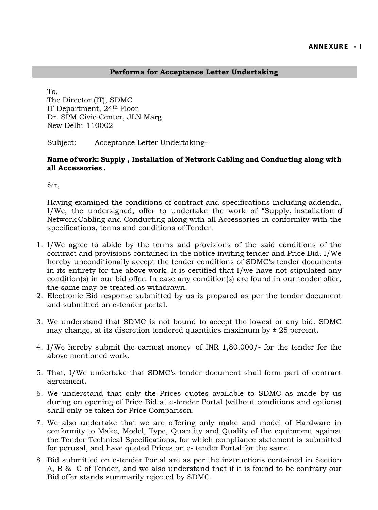### **Performa for Acceptance Letter Undertaking**

To, The Director (IT), SDMC IT Department, 24th Floor Dr. SPM Civic Center, JLN Marg New Delhi-110002

Subject: Acceptance Letter Undertaking–

**Name of work: Supply , Installation of Network Cabling and Conducting along with all Accessories .**

Sir,

Having examined the conditions of contract and specifications including addenda, I/We, the undersigned, offer to undertake the work of "Supply, installation of Network Cabling and Conducting along with all Accessories in conformity with the specifications, terms and conditions of Tender.

- 1. I/We agree to abide by the terms and provisions of the said conditions of the contract and provisions contained in the notice inviting tender and Price Bid. I/We hereby unconditionally accept the tender conditions of SDMC's tender documents in its entirety for the above work. It is certified that I/we have not stipulated any condition(s) in our bid offer. In case any condition(s) are found in our tender offer, the same may be treated as withdrawn.
- 2. Electronic Bid response submitted by us is prepared as per the tender document and submitted on e-tender portal.
- 3. We understand that SDMC is not bound to accept the lowest or any bid. SDMC may change, at its discretion tendered quantities maximum by  $\pm$  25 percent.
- 4. I/We hereby submit the earnest money of INR 1,80,000/- for the tender for the above mentioned work.
- 5. That, I/We undertake that SDMC's tender document shall form part of contract agreement.
- 6. We understand that only the Prices quotes available to SDMC as made by us during on opening of Price Bid at e-tender Portal (without conditions and options) shall only be taken for Price Comparison.
- 7. We also undertake that we are offering only make and model of Hardware in conformity to Make, Model, Type, Quantity and Quality of the equipment against the Tender Technical Specifications, for which compliance statement is submitted for perusal, and have quoted Prices on e- tender Portal for the same.
- 8. Bid submitted on e-tender Portal are as per the instructions contained in Section A, B & C of Tender, and we also understand that if it is found to be contrary our Bid offer stands summarily rejected by SDMC.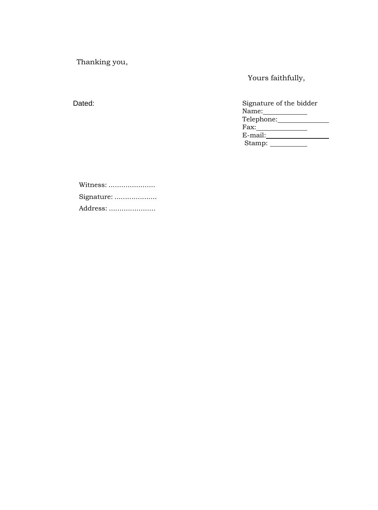Thanking you,

Dated:

Yours faithfully,

| Signature of the bidder |  |
|-------------------------|--|
| Name:                   |  |
| Telephone:              |  |
| Fax:                    |  |
| E-mail:                 |  |
| Stamp:                  |  |

Witness: ........................ Signature: .................... Address: ......................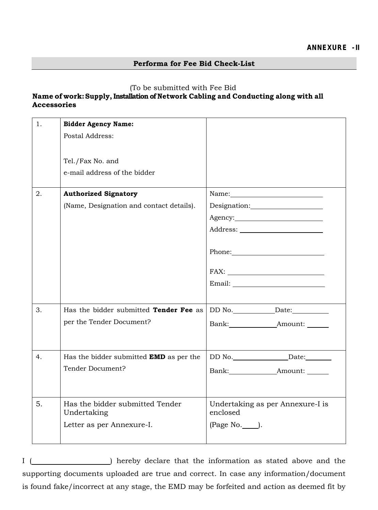### **Performa for Fee Bid Check-List**

### (To be submitted with Fee Bid

## **Name of work:Supply, Installation of Network Cabling and Conducting along with all Accessories**

| 1. | <b>Bidder Agency Name:</b>                     |                                                                                                                                                                                                                                                                                                                                                                        |
|----|------------------------------------------------|------------------------------------------------------------------------------------------------------------------------------------------------------------------------------------------------------------------------------------------------------------------------------------------------------------------------------------------------------------------------|
|    | Postal Address:                                |                                                                                                                                                                                                                                                                                                                                                                        |
|    |                                                |                                                                                                                                                                                                                                                                                                                                                                        |
|    | Tel./Fax No. and                               |                                                                                                                                                                                                                                                                                                                                                                        |
|    | e-mail address of the bidder                   |                                                                                                                                                                                                                                                                                                                                                                        |
|    |                                                |                                                                                                                                                                                                                                                                                                                                                                        |
| 2. | <b>Authorized Signatory</b>                    |                                                                                                                                                                                                                                                                                                                                                                        |
|    | (Name, Designation and contact details).       |                                                                                                                                                                                                                                                                                                                                                                        |
|    |                                                |                                                                                                                                                                                                                                                                                                                                                                        |
|    |                                                |                                                                                                                                                                                                                                                                                                                                                                        |
|    |                                                |                                                                                                                                                                                                                                                                                                                                                                        |
|    |                                                | Phone: 2000 Phone:                                                                                                                                                                                                                                                                                                                                                     |
|    |                                                |                                                                                                                                                                                                                                                                                                                                                                        |
|    |                                                | $Email: \begin{tabular}{ c c } \hline \rule{0.3cm}{.4cm} \rule{0.3cm}{.4cm} \rule{0.3cm}{.4cm} \rule{0.3cm}{.4cm} \rule{0.3cm}{.4cm} \rule{0.3cm}{.4cm} \rule{0.3cm}{.4cm} \rule{0.3cm}{.4cm} \rule{0.3cm}{.4cm} \rule{0.3cm}{.4cm} \rule{0.3cm}{.4cm} \rule{0.3cm}{.4cm} \rule{0.3cm}{.4cm} \rule{0.3cm}{.4cm} \rule{0.3cm}{.4cm} \rule{0.3cm}{.4cm} \rule{0.3cm}{.4$ |
|    |                                                |                                                                                                                                                                                                                                                                                                                                                                        |
| 3. | Has the bidder submitted Tender Fee as         |                                                                                                                                                                                                                                                                                                                                                                        |
|    |                                                |                                                                                                                                                                                                                                                                                                                                                                        |
|    | per the Tender Document?                       | Bank: Amount:                                                                                                                                                                                                                                                                                                                                                          |
|    |                                                |                                                                                                                                                                                                                                                                                                                                                                        |
| 4. | Has the bidder submitted <b>EMD</b> as per the |                                                                                                                                                                                                                                                                                                                                                                        |
|    | Tender Document?                               | Bank: Amount:                                                                                                                                                                                                                                                                                                                                                          |
|    |                                                |                                                                                                                                                                                                                                                                                                                                                                        |
|    |                                                |                                                                                                                                                                                                                                                                                                                                                                        |
| 5. | Has the bidder submitted Tender<br>Undertaking | Undertaking as per Annexure-I is<br>enclosed                                                                                                                                                                                                                                                                                                                           |
|    | Letter as per Annexure-I.                      | (Page No. ______).                                                                                                                                                                                                                                                                                                                                                     |
|    |                                                |                                                                                                                                                                                                                                                                                                                                                                        |

I ( ) hereby declare that the information as stated above and the supporting documents uploaded are true and correct. In case any information/document is found fake/incorrect at any stage, the EMD may be forfeited and action as deemed fit by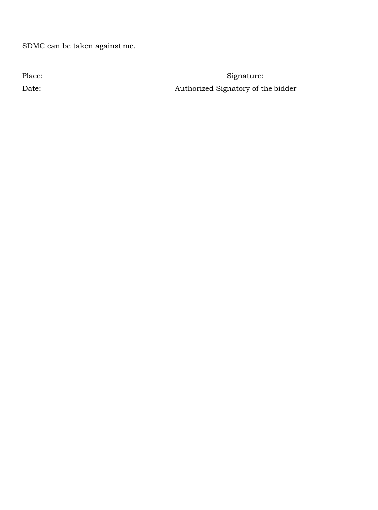SDMC can be taken against me.

Place: *Signature:* **Signature:** Date: Authorized Signatory of the bidder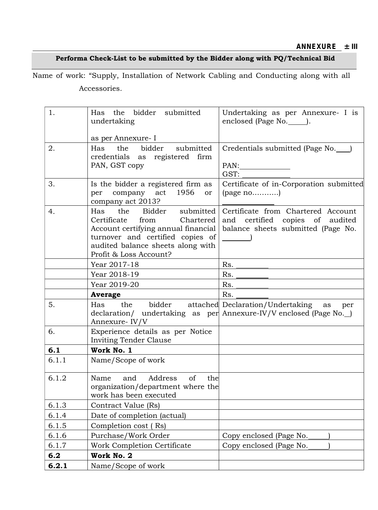## **Performa Check-List to be submitted by the Bidder along with PQ/Technical Bid**

Name of work: "Supply, Installation of Network Cabling and Conducting along with all Accessories.

| 1.           | Has the bidder submitted<br>undertaking         | Undertaking as per Annexure- I is<br>enclosed (Page No. ).               |
|--------------|-------------------------------------------------|--------------------------------------------------------------------------|
|              |                                                 |                                                                          |
|              | as per Annexure- I                              |                                                                          |
| 2.           | the bidder<br>submitted<br>Has                  | Credentials submitted (Page No.                                          |
|              | credentials as registered firm<br>PAN, GST copy | PAN:                                                                     |
|              |                                                 | GST:                                                                     |
| 3.           | Is the bidder a registered firm as              | Certificate of in-Corporation submitted                                  |
|              | per company act 1956<br>or                      | $\left(\text{page no}\ldots\ldots\ldots\right)$                          |
|              | company act 2013?<br>the Bidder<br>Has          |                                                                          |
| 4.           | submitted  <br>Certificate<br>Chartered<br>from | Certificate from Chartered Account<br>certified copies of audited<br>and |
|              | Account certifying annual financial             | balance sheets submitted (Page No.                                       |
|              | turnover and certified copies of                |                                                                          |
|              | audited balance sheets along with               |                                                                          |
|              | Profit & Loss Account?                          |                                                                          |
|              | Year 2017-18<br>Year 2018-19                    | Rs.<br>Rs.                                                               |
|              | Year 2019-20                                    | Rs.                                                                      |
|              | Average                                         | Rs.                                                                      |
| 5.           | the bidder<br>Has                               | attached Declaration/Undertaking as<br>per                               |
|              | Annexure-IV/V                                   | declaration/ undertaking as per Annexure-IV/V enclosed (Page No.         |
| 6.           | Experience details as per Notice                |                                                                          |
|              |                                                 |                                                                          |
|              | Inviting Tender Clause                          |                                                                          |
| 6.1          | Work No. 1                                      |                                                                          |
| 6.1.1        | Name/Scope of work                              |                                                                          |
| 6.1.2        | Name and Address of the                         |                                                                          |
|              | organization/department where the               |                                                                          |
|              | work has been executed                          |                                                                          |
| 6.1.3        | Contract Value (Rs)                             |                                                                          |
| 6.1.4        | Date of completion (actual)                     |                                                                          |
| 6.1.5        | Completion cost (Rs)                            |                                                                          |
| 6.1.6        | Purchase/Work Order                             | Copy enclosed (Page No.                                                  |
| 6.1.7        | Work Completion Certificate                     | Copy enclosed (Page No.                                                  |
| 6.2<br>6.2.1 | Work No. 2<br>Name/Scope of work                |                                                                          |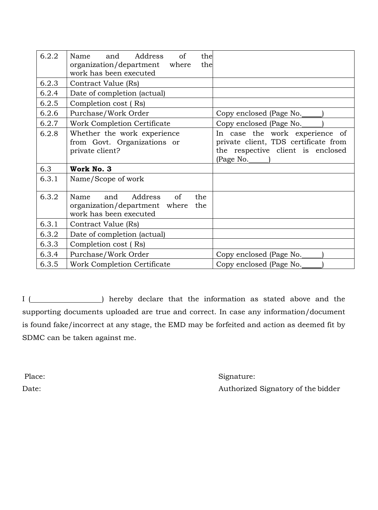| 6.2.2 | the<br>Address<br>of<br>Name<br>and<br>organization/department where<br>the<br>work has been executed |                                                                                                                          |
|-------|-------------------------------------------------------------------------------------------------------|--------------------------------------------------------------------------------------------------------------------------|
| 6.2.3 | Contract Value (Rs)                                                                                   |                                                                                                                          |
| 6.2.4 | Date of completion (actual)                                                                           |                                                                                                                          |
| 6.2.5 | Completion cost (Rs)                                                                                  |                                                                                                                          |
| 6.2.6 | Purchase/Work Order                                                                                   | Copy enclosed (Page No.                                                                                                  |
| 6.2.7 | Work Completion Certificate                                                                           | Copy enclosed (Page No.                                                                                                  |
| 6.2.8 | Whether the work experience<br>from Govt. Organizations or<br>private client?                         | In case the work experience of<br>private client, TDS certificate from<br>the respective client is enclosed<br>(Page No. |
| 6.3   | Work No. 3                                                                                            |                                                                                                                          |
| 6.3.1 | Name/Scope of work                                                                                    |                                                                                                                          |
| 6.3.2 | Address<br>of<br>Name<br>and<br>the<br>organization/department where<br>the<br>work has been executed |                                                                                                                          |
| 6.3.1 | Contract Value (Rs)                                                                                   |                                                                                                                          |
| 6.3.2 | Date of completion (actual)                                                                           |                                                                                                                          |
| 6.3.3 | Completion cost (Rs)                                                                                  |                                                                                                                          |
| 6.3.4 | Purchase/Work Order                                                                                   | Copy enclosed (Page No.                                                                                                  |
| 6.3.5 | Work Completion Certificate                                                                           | Copy enclosed (Page No.                                                                                                  |

I ( ) hereby declare that the information as stated above and the supporting documents uploaded are true and correct. In case any information/document is found fake/incorrect at any stage, the EMD may be forfeited and action as deemed fit by SDMC can be taken against me.

Place: Signature: Signature: Signature: Signature: Signature: Signature: Signature: Signature: Signature: Signature: Signature: Signature: Signature: Signature: Signature: Signature: Signature: Signature: Signature: Signat Date: Authorized Signatory of the bidder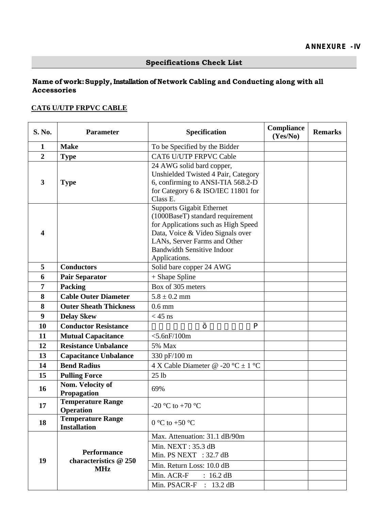## **Name of work: Supply, Installation of Network Cabling and Conducting along with all Accessories**

## **CAT6 U/UTP FRPVC CABLE**

| S. No.                  | <b>Parameter</b>                                | Specification                                                                                                                                                                                                                         | Compliance<br>(Yes/No) | <b>Remarks</b> |
|-------------------------|-------------------------------------------------|---------------------------------------------------------------------------------------------------------------------------------------------------------------------------------------------------------------------------------------|------------------------|----------------|
| $\mathbf{1}$            | <b>Make</b>                                     | To be Specified by the Bidder                                                                                                                                                                                                         |                        |                |
| $\overline{2}$          | <b>Type</b>                                     | <b>CAT6 U/UTP FRPVC Cable</b>                                                                                                                                                                                                         |                        |                |
| 3                       | <b>Type</b>                                     | 24 AWG solid bard copper,<br>Unshielded Twisted 4 Pair, Category<br>6, confirming to ANSI-TIA 568.2-D<br>for Category 6 & ISO/IEC 11801 for<br>Class E.                                                                               |                        |                |
| $\overline{\mathbf{4}}$ |                                                 | <b>Supports Gigabit Ethernet</b><br>(1000BaseT) standard requirement<br>for Applications such as High Speed<br>Data, Voice & Video Signals over<br>LANs, Server Farms and Other<br><b>Bandwidth Sensitive Indoor</b><br>Applications. |                        |                |
| 5                       | <b>Conductors</b>                               | Solid bare copper 24 AWG                                                                                                                                                                                                              |                        |                |
| 6                       | <b>Pair Separator</b>                           | $+$ Shape Spline                                                                                                                                                                                                                      |                        |                |
| 7                       | <b>Packing</b>                                  | Box of 305 meters                                                                                                                                                                                                                     |                        |                |
| 8                       | <b>Cable Outer Diameter</b>                     | $5.8 \pm 0.2$ mm                                                                                                                                                                                                                      |                        |                |
| 8                       | <b>Outer Sheath Thickness</b>                   | $0.6$ mm                                                                                                                                                                                                                              |                        |                |
| 9                       | <b>Delay Skew</b>                               | $<$ 45 ns                                                                                                                                                                                                                             |                        |                |
| 10                      | <b>Conductor Resistance</b>                     | $\overline{0}$ " ; 0 5 : " " 1 3 2 2 " o                                                                                                                                                                                              |                        |                |
| 11                      | <b>Mutual Capacitance</b>                       | $<$ 5.6nF/100m                                                                                                                                                                                                                        |                        |                |
| 12                      | <b>Resistance Unbalance</b>                     | 5% Max                                                                                                                                                                                                                                |                        |                |
| 13                      | <b>Capacitance Unbalance</b>                    | 330 pF/100 m                                                                                                                                                                                                                          |                        |                |
| 14                      | <b>Bend Radius</b>                              | 4 X Cable Diameter @ -20 °C $\pm$ 1 °C                                                                                                                                                                                                |                        |                |
| 15                      | <b>Pulling Force</b>                            | 25 <sub>1b</sub>                                                                                                                                                                                                                      |                        |                |
| 16                      | Nom. Velocity of<br>Propagation                 | 69%                                                                                                                                                                                                                                   |                        |                |
| 17                      | <b>Temperature Range</b><br><b>Operation</b>    | -20 °C to +70 °C                                                                                                                                                                                                                      |                        |                |
| 18                      | <b>Temperature Range</b><br><b>Installation</b> | $0 °C$ to +50 $°C$                                                                                                                                                                                                                    |                        |                |
|                         |                                                 | Max. Attenuation: 31.1 dB/90m                                                                                                                                                                                                         |                        |                |
|                         | <b>Performance</b>                              | Min. NEXT: 35.3 dB<br>Min. PS NEXT : $32.7$ dB                                                                                                                                                                                        |                        |                |
| 19                      | characteristics @ 250<br><b>MHz</b>             | Min. Return Loss: 10.0 dB                                                                                                                                                                                                             |                        |                |
|                         |                                                 | Min. ACR-F<br>$: 16.2 \text{ dB}$                                                                                                                                                                                                     |                        |                |
|                         |                                                 | Min. PSACR-F : 13.2 dB                                                                                                                                                                                                                |                        |                |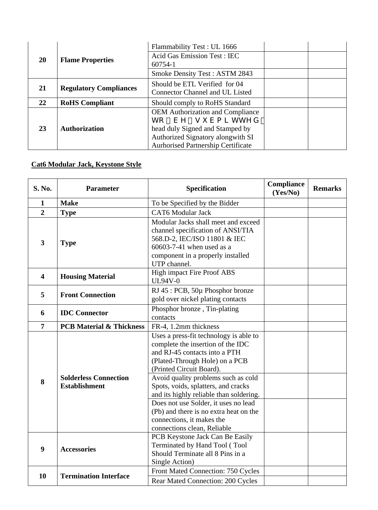|           | <b>Flame Properties</b>       | Flammability Test: UL 1666                |  |  |
|-----------|-------------------------------|-------------------------------------------|--|--|
| <b>20</b> |                               | <b>Acid Gas Emission Test: IEC</b>        |  |  |
|           |                               | 60754-1                                   |  |  |
|           |                               | <b>Smoke Density Test: ASTM 2843</b>      |  |  |
|           |                               | Should be ETL Verified for 04             |  |  |
| 21        | <b>Regulatory Compliances</b> | <b>Connector Channel and UL Listed</b>    |  |  |
| 22        | <b>RoHS</b> Compliant         | Should comply to RoHS Standard            |  |  |
|           |                               | <b>OEM</b> Authorization and Compliance   |  |  |
|           |                               | vq "dg "uwdokvvgf"                        |  |  |
| 23        | <b>Authorization</b>          | head duly Signed and Stamped by           |  |  |
|           |                               | Authorized Signatory alongwith SI         |  |  |
|           |                               | <b>Aurhorised Partnership Certificate</b> |  |  |

## **Cat6 Modular Jack, Keystone Style**

| S. No.                  | <b>Parameter</b>                                     | Specification                                                                                                                                                                              | Compliance<br>(Yes/No) | <b>Remarks</b> |
|-------------------------|------------------------------------------------------|--------------------------------------------------------------------------------------------------------------------------------------------------------------------------------------------|------------------------|----------------|
| $\mathbf{1}$            | <b>Make</b>                                          | To be Specified by the Bidder                                                                                                                                                              |                        |                |
| $\overline{2}$          | <b>Type</b>                                          | <b>CAT6</b> Modular Jack                                                                                                                                                                   |                        |                |
| $\overline{\mathbf{3}}$ | <b>Type</b>                                          | Modular Jacks shall meet and exceed<br>channel specification of ANSI/TIA<br>568.D-2, IEC/ISO 11801 & IEC<br>60603-7-41 when used as a<br>component in a properly installed<br>UTP channel. |                        |                |
| $\overline{\mathbf{4}}$ | <b>Housing Material</b>                              | <b>High impact Fire Proof ABS</b><br><b>UL94V-0</b>                                                                                                                                        |                        |                |
| 5                       | <b>Front Connection</b>                              | RJ 45 : PCB, 50µ Phosphor bronze<br>gold over nickel plating contacts                                                                                                                      |                        |                |
| 6                       | <b>IDC</b> Connector                                 | Phosphor bronze, Tin-plating<br>contacts                                                                                                                                                   |                        |                |
| $\overline{7}$          | <b>PCB Material &amp; Thickness</b>                  | FR-4, 1.2mm thickness                                                                                                                                                                      |                        |                |
|                         |                                                      | Uses a press-fit technology is able to<br>complete the insertion of the IDC<br>and RJ-45 contacts into a PTH<br>(Plated-Through Hole) on a PCB<br>(Printed Circuit Board).                 |                        |                |
| 8                       | <b>Solderless Connection</b><br><b>Establishment</b> | Avoid quality problems such as cold<br>Spots, voids, splatters, and cracks<br>and its highly reliable than soldering.                                                                      |                        |                |
|                         |                                                      | Does not use Solder, it uses no lead<br>(Pb) and there is no extra heat on the<br>connections, it makes the<br>connections clean, Reliable                                                 |                        |                |
| 9                       | <b>Accessories</b>                                   | PCB Keystone Jack Can Be Easily<br>Terminated by Hand Tool (Tool<br>Should Terminate all 8 Pins in a<br>Single Action)                                                                     |                        |                |
| 10                      | <b>Termination Interface</b>                         | Front Mated Connection: 750 Cycles<br><b>Rear Mated Connection: 200 Cycles</b>                                                                                                             |                        |                |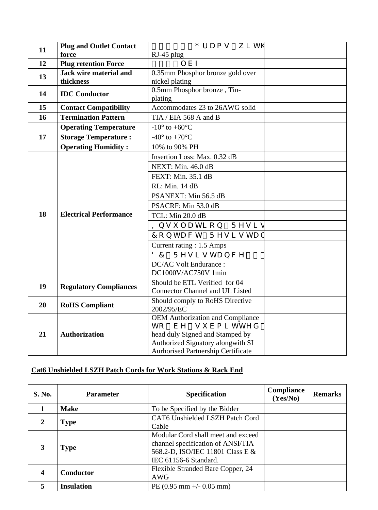| 11 | <b>Plug and Outlet Contact</b> | $\times$ " 3 2 2 " I t c o u " y k v j  |  |
|----|--------------------------------|-----------------------------------------|--|
|    | force                          | $RJ-45$ plug                            |  |
| 12 | <b>Plug retention Force</b>    | $\times$ " 3 3 n d h                    |  |
| 13 | Jack wire material and         | 0.35mm Phosphor bronze gold over        |  |
|    | thickness                      | nickel plating                          |  |
| 14 | <b>IDC</b> Conductor           | 0.5mm Phosphor bronze, Tin-             |  |
|    |                                | plating                                 |  |
| 15 | <b>Contact Compatibility</b>   | Accommodates 23 to 26AWG solid          |  |
| 16 | <b>Termination Pattern</b>     | TIA / EIA 568 A and B                   |  |
|    | <b>Operating Temperature</b>   | -10 $^{\circ}$ to +60 $^{\circ}$ C      |  |
| 17 | <b>Storage Temperature:</b>    | -40 $^{\circ}$ to +70 $^{\circ}$ C      |  |
|    | <b>Operating Humidity:</b>     | 10% to 90% PH                           |  |
|    |                                | Insertion Loss: Max. 0.32 dB            |  |
|    | <b>Electrical Performance</b>  | NEXT: Min. 46.0 dB                      |  |
|    |                                | FEXT: Min. 35.1 dB                      |  |
|    |                                | RL: Min. 14 dB                          |  |
|    |                                | PSANEXT: Min 56.5 dB                    |  |
|    |                                | PSACRF: Min 53.0 dB                     |  |
| 18 |                                | TCL: Min 20.0 dB                        |  |
|    |                                | Kpuwncvkqp" Tguku                       |  |
|    |                                | Eqpvcev" Tgukuvcp                       |  |
|    |                                | Current rating : 1.5 Amps               |  |
|    |                                | $F E$ " Tgukuvcpeg" < "                 |  |
|    |                                | <b>DC/AC Volt Endurance:</b>            |  |
|    |                                | DC1000V/AC750V 1min                     |  |
|    |                                | Should be ETL Verified for 04           |  |
| 19 | <b>Regulatory Compliances</b>  | <b>Connector Channel and UL Listed</b>  |  |
| 20 |                                | Should comply to RoHS Directive         |  |
|    | <b>RoHS</b> Compliant          | 2002/95/EC                              |  |
|    |                                | <b>OEM</b> Authorization and Compliance |  |
|    |                                | vq" dg" uwd ok v vgf"                   |  |
| 21 | <b>Authorization</b>           | head duly Signed and Stamped by         |  |
|    |                                | Authorized Signatory alongwith SI       |  |
|    |                                | Aurhorised Partnership Certificate      |  |

## **Cat6 Unshielded LSZH Patch Cords for Work Stations & Rack End**

| <b>S. No.</b>  | <b>Parameter</b>  | <b>Specification</b>                                                                                                                 | <b>Compliance</b><br>(Yes/No) | <b>Remarks</b> |
|----------------|-------------------|--------------------------------------------------------------------------------------------------------------------------------------|-------------------------------|----------------|
|                | <b>Make</b>       | To be Specified by the Bidder                                                                                                        |                               |                |
| $\overline{2}$ | <b>Type</b>       | CAT6 Unshielded LSZH Patch Cord<br>Cable                                                                                             |                               |                |
| 3              | <b>Type</b>       | Modular Cord shall meet and exceed<br>channel specification of ANSI/TIA<br>568.2-D, ISO/IEC 11801 Class E &<br>IEC 61156-6 Standard. |                               |                |
| 4              | Conductor         | Flexible Stranded Bare Copper, 24<br>AWG                                                                                             |                               |                |
| 5              | <b>Insulation</b> | PE $(0.95 \text{ mm} +/- 0.05 \text{ mm})$                                                                                           |                               |                |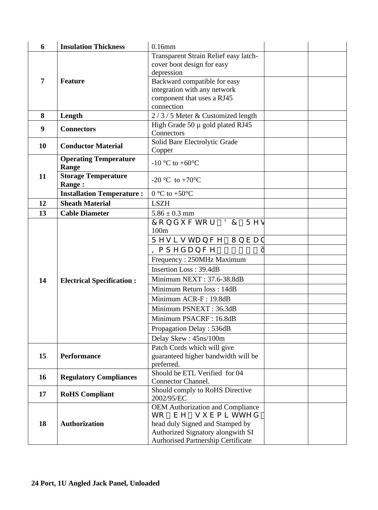| 6              | <b>Insulation Thickness</b>      | $0.16$ mm                                          |  |
|----------------|----------------------------------|----------------------------------------------------|--|
|                |                                  | Transparent Strain Relief easy latch-              |  |
|                |                                  | cover boot design for easy                         |  |
|                |                                  | depression                                         |  |
| $\overline{7}$ | <b>Feature</b>                   | Backward compatible for easy                       |  |
|                |                                  | integration with any network                       |  |
|                | component that uses a RJ45       |                                                    |  |
|                |                                  | connection                                         |  |
| 8              | Length                           | 2/3/5 Meter & Customized length                    |  |
| 9              | <b>Connectors</b>                | High Grade $50 \mu$ gold plated RJ45<br>Connectors |  |
|                |                                  | Solid Bare Electrolytic Grade                      |  |
| <b>10</b>      | <b>Conductor Material</b>        | Copper                                             |  |
|                | <b>Operating Temperature</b>     |                                                    |  |
|                | Range                            | -10 °C to +60 $\degree$ C                          |  |
| 11             | <b>Storage Temperature</b>       |                                                    |  |
|                | <b>Range:</b>                    | -20 °C to +70 °C                                   |  |
|                | <b>Installation Temperature:</b> | $0^{\circ}$ C to +50 $^{\circ}$ C                  |  |
| 12             | <b>Sheath Material</b>           | <b>LSZH</b>                                        |  |
| 13             | <b>Cable Diameter</b>            | $5.86 \pm 0.3$ mm                                  |  |
|                |                                  | Eqpf we vqt "FE" Tgu                               |  |
|                |                                  | 100m                                               |  |
|                |                                  | Tgukuvcpeg "Wpdcn                                  |  |
|                |                                  | Korgf cpeg " < " 3 2 2                             |  |
|                |                                  | Frequency: 250MHz Maximum                          |  |
|                |                                  | Insertion Loss: 39.4dB                             |  |
| 14             | <b>Electrical Specification:</b> | Minimum NEXT: 37.6-38.8dB                          |  |
|                |                                  | Minimum Return loss: 14dB                          |  |
|                |                                  | Minimum ACR-F: 19.8dB                              |  |
|                |                                  | Minimum PSNEXT: 36.3dB                             |  |
|                |                                  |                                                    |  |
|                |                                  | Minimum PSACRF: 16.8dB                             |  |
|                |                                  | Propagation Delay: 536dB                           |  |
|                |                                  | Delay Skew: 45ns/100m                              |  |
|                |                                  | Patch Cords which will give                        |  |
| 15             | <b>Performance</b>               | guaranteed higher bandwidth will be                |  |
|                |                                  | preferred.<br>Should be ETL Verified for 04        |  |
| <b>16</b>      | <b>Regulatory Compliances</b>    | Connector Channel.                                 |  |
|                |                                  | Should comply to RoHS Directive                    |  |
| 17             | <b>RoHS</b> Compliant            | 2002/95/EC                                         |  |
|                |                                  | <b>OEM Authorization and Compliance</b>            |  |
|                |                                  | vq" dg" uwd ok v vgf"                              |  |
| 18             | <b>Authorization</b>             | head duly Signed and Stamped by                    |  |
|                |                                  | Authorized Signatory alongwith SI                  |  |
|                |                                  | Aurhorised Partnership Certificate                 |  |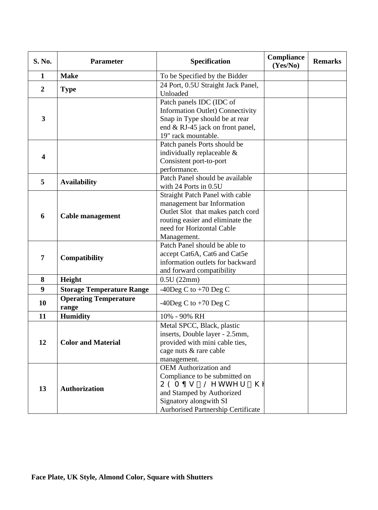| S. No.                  | <b>Parameter</b>                      | Specification                                                                                                                                                                                      | Compliance<br>(Yes/No) | <b>Remarks</b> |
|-------------------------|---------------------------------------|----------------------------------------------------------------------------------------------------------------------------------------------------------------------------------------------------|------------------------|----------------|
| $\mathbf{1}$            | <b>Make</b>                           | To be Specified by the Bidder                                                                                                                                                                      |                        |                |
| $\boldsymbol{2}$        | <b>Type</b>                           | 24 Port, 0.5U Straight Jack Panel,<br>Unloaded                                                                                                                                                     |                        |                |
| $\mathbf{3}$            |                                       | Patch panels IDC (IDC of<br><b>Information Outlet) Connectivity</b><br>Snap in Type should be at rear                                                                                              |                        |                |
|                         |                                       | end & RJ-45 jack on front panel,<br>19" rack mountable.                                                                                                                                            |                        |                |
| $\overline{\mathbf{4}}$ |                                       | Patch panels Ports should be<br>individually replaceable &<br>Consistent port-to-port<br>performance.                                                                                              |                        |                |
| 5                       | <b>Availability</b>                   | Patch Panel should be available<br>with 24 Ports in 0.5U                                                                                                                                           |                        |                |
| 6                       | <b>Cable management</b>               | Straight Patch Panel with cable<br>management bar Information<br>Outlet Slot that makes patch cord<br>routing easier and eliminate the<br>need for Horizontal Cable<br>Management.                 |                        |                |
| 7                       | Compatibility                         | Patch Panel should be able to<br>accept Cat6A, Cat6 and Cat5e<br>information outlets for backward<br>and forward compatibility                                                                     |                        |                |
| 8                       | Height                                | 0.5U(22mm)                                                                                                                                                                                         |                        |                |
| 9                       | <b>Storage Temperature Range</b>      | -40Deg C to $+70$ Deg C                                                                                                                                                                            |                        |                |
| 10                      | <b>Operating Temperature</b><br>range | -40Deg C to $+70$ Deg C                                                                                                                                                                            |                        |                |
| 11                      | <b>Humidity</b>                       | 10% - 90% RH                                                                                                                                                                                       |                        |                |
| 12                      | <b>Color and Material</b>             | Metal SPCC, Black, plastic<br>inserts, Double layer - 2.5mm,<br>provided with mini cable ties,<br>cage nuts & rare cable<br>management.                                                            |                        |                |
| 13                      | <b>Authorization</b>                  | <b>OEM</b> Authorization and<br>Compliance to be submitted on<br>$Q G O \phi$ u "Ng v v g t "j<br>and Stamped by Authorized<br>Signatory alongwith SI<br><b>Aurhorised Partnership Certificate</b> |                        |                |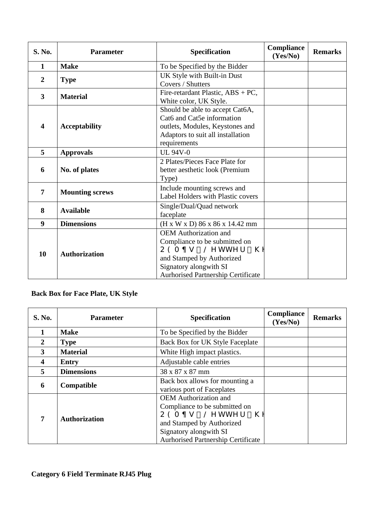| S. No.                  | <b>Parameter</b>       | Specification                                                                                                                                                                                        | Compliance<br>(Yes/No) | <b>Remarks</b> |
|-------------------------|------------------------|------------------------------------------------------------------------------------------------------------------------------------------------------------------------------------------------------|------------------------|----------------|
| 1                       | <b>Make</b>            | To be Specified by the Bidder                                                                                                                                                                        |                        |                |
| $\overline{2}$          | <b>Type</b>            | UK Style with Built-in Dust<br>Covers / Shutters                                                                                                                                                     |                        |                |
| $\overline{\mathbf{3}}$ | <b>Material</b>        | Fire-retardant Plastic, ABS + PC,<br>White color, UK Style.                                                                                                                                          |                        |                |
| $\overline{\mathbf{4}}$ | <b>Acceptability</b>   | Should be able to accept Cat6A,<br>Cat6 and Cat5e information<br>outlets, Modules, Keystones and<br>Adaptors to suit all installation<br>requirements                                                |                        |                |
| 5                       | <b>Approvals</b>       | <b>UL 94V-0</b>                                                                                                                                                                                      |                        |                |
| 6                       | No. of plates          | 2 Plates/Pieces Face Plate for<br>better aesthetic look (Premium<br>Type)                                                                                                                            |                        |                |
| 7                       | <b>Mounting screws</b> | Include mounting screws and<br>Label Holders with Plastic covers                                                                                                                                     |                        |                |
| 8                       | <b>Available</b>       | Single/Dual/Quad network<br>faceplate                                                                                                                                                                |                        |                |
| 9                       | <b>Dimensions</b>      | (H x W x D) 86 x 86 x 14.42 mm                                                                                                                                                                       |                        |                |
| 10                      | <b>Authorization</b>   | <b>OEM</b> Authorization and<br>Compliance to be submitted on<br>$Q G O \phi u$ " Ng v v g t " j<br>and Stamped by Authorized<br>Signatory alongwith SI<br><b>Aurhorised Partnership Certificate</b> |                        |                |

# **Back Box for Face Plate, UK Style**

| <b>S. No.</b>  | <b>Parameter</b>     | <b>Specification</b>                                                                                                                                                                                   | <b>Compliance</b><br>(Yes/No) | <b>Remarks</b> |
|----------------|----------------------|--------------------------------------------------------------------------------------------------------------------------------------------------------------------------------------------------------|-------------------------------|----------------|
|                | <b>Make</b>          | To be Specified by the Bidder                                                                                                                                                                          |                               |                |
| $\overline{2}$ | <b>Type</b>          | Back Box for UK Style Faceplate                                                                                                                                                                        |                               |                |
| $\mathbf{3}$   | <b>Material</b>      | White High impact plastics.                                                                                                                                                                            |                               |                |
| 4              | Entry                | Adjustable cable entries                                                                                                                                                                               |                               |                |
| 5              | <b>Dimensions</b>    | 38 x 87 x 87 mm                                                                                                                                                                                        |                               |                |
| 6              | Compatible           | Back box allows for mounting a<br>various port of Faceplates                                                                                                                                           |                               |                |
| 7              | <b>Authorization</b> | <b>OEM</b> Authorization and<br>Compliance to be submitted on<br>$Q G O \phi u$ " Ng v v g t " j g<br>and Stamped by Authorized<br>Signatory alongwith SI<br><b>Aurhorised Partnership Certificate</b> |                               |                |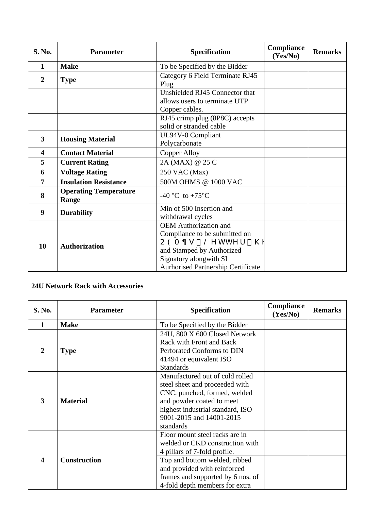| S. No.                  | <b>Parameter</b>                      | <b>Specification</b>                                                                                                                                                                  | Compliance<br>(Yes/No) | <b>Remarks</b> |
|-------------------------|---------------------------------------|---------------------------------------------------------------------------------------------------------------------------------------------------------------------------------------|------------------------|----------------|
| 1                       | <b>Make</b>                           | To be Specified by the Bidder                                                                                                                                                         |                        |                |
| $\overline{2}$          | <b>Type</b>                           | Category 6 Field Terminate RJ45<br>Plug                                                                                                                                               |                        |                |
|                         |                                       | Unshielded RJ45 Connector that<br>allows users to terminate UTP<br>Copper cables.                                                                                                     |                        |                |
|                         |                                       | RJ45 crimp plug (8P8C) accepts<br>solid or stranded cable                                                                                                                             |                        |                |
| $\overline{\mathbf{3}}$ | <b>Housing Material</b>               | UL94V-0 Compliant<br>Polycarbonate                                                                                                                                                    |                        |                |
| 4                       | <b>Contact Material</b>               | <b>Copper Alloy</b>                                                                                                                                                                   |                        |                |
| 5                       | <b>Current Rating</b>                 | 2A (MAX) @ 25 C                                                                                                                                                                       |                        |                |
| 6                       | <b>Voltage Rating</b>                 | 250 VAC (Max)                                                                                                                                                                         |                        |                |
| 7                       | <b>Insulation Resistance</b>          | 500M OHMS @ 1000 VAC                                                                                                                                                                  |                        |                |
| 8                       | <b>Operating Temperature</b><br>Range | -40 °C to +75 °C                                                                                                                                                                      |                        |                |
| 9                       | <b>Durability</b>                     | Min of 500 Insertion and<br>withdrawal cycles                                                                                                                                         |                        |                |
| 10                      | <b>Authorization</b>                  | <b>OEM</b> Authorization and<br>Compliance to be submitted on<br>QGOøu "Ngvvgt"jg<br>and Stamped by Authorized<br>Signatory alongwith SI<br><b>Aurhorised Partnership Certificate</b> |                        |                |

## **24U Network Rack with Accessories**

| <b>S. No.</b> | <b>Parameter</b>    | <b>Specification</b>                                                                                                                                                                                                                      | Compliance<br>(Yes/No) | <b>Remarks</b> |
|---------------|---------------------|-------------------------------------------------------------------------------------------------------------------------------------------------------------------------------------------------------------------------------------------|------------------------|----------------|
| 1             | <b>Make</b>         | To be Specified by the Bidder                                                                                                                                                                                                             |                        |                |
| 2             | <b>Type</b>         | 24U, 800 X 600 Closed Network<br>Rack with Front and Back<br>Perforated Conforms to DIN<br>41494 or equivalent ISO<br><b>Standards</b>                                                                                                    |                        |                |
| 3             | <b>Material</b>     | Manufactured out of cold rolled<br>steel sheet and proceeded with<br>CNC, punched, formed, welded<br>and powder coated to meet<br>highest industrial standard, ISO<br>9001-2015 and 14001-2015<br>standards                               |                        |                |
| 4             | <b>Construction</b> | Floor mount steel racks are in<br>welded or CKD construction with<br>4 pillars of 7-fold profile.<br>Top and bottom welded, ribbed<br>and provided with reinforced<br>frames and supported by 6 nos. of<br>4-fold depth members for extra |                        |                |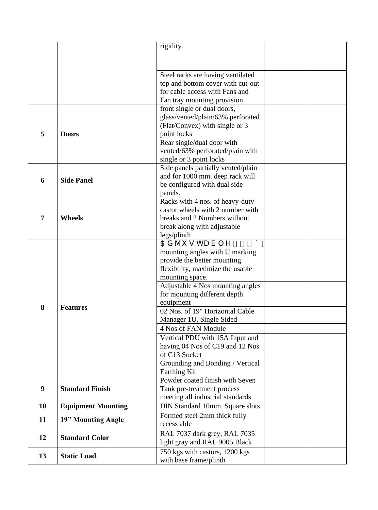|                  |                           | rigidity.                                                     |  |
|------------------|---------------------------|---------------------------------------------------------------|--|
|                  |                           |                                                               |  |
|                  |                           |                                                               |  |
|                  |                           | Steel racks are having ventilated                             |  |
|                  |                           | top and bottom cover with cut-out                             |  |
|                  |                           | for cable access with Fans and                                |  |
|                  |                           | Fan tray mounting provision                                   |  |
|                  |                           | front single or dual doors,                                   |  |
|                  |                           | glass/vented/plain/63% perforated                             |  |
|                  |                           | (Flat/Convex) with single or 3                                |  |
| 5                | <b>Doors</b>              | point locks                                                   |  |
|                  |                           | Rear single/dual door with                                    |  |
|                  |                           | vented/63% perforated/plain with                              |  |
|                  |                           | single or 3 point locks                                       |  |
|                  |                           | Side panels partially vented/plain                            |  |
| 6                | <b>Side Panel</b>         | and for 1000 mm. deep rack will                               |  |
|                  |                           | be configured with dual side                                  |  |
|                  |                           | panels.                                                       |  |
|                  |                           | Racks with 4 nos. of heavy-duty                               |  |
|                  |                           | castor wheels with 2 number with                              |  |
| 7                | <b>Wheels</b>             | breaks and 2 Numbers without                                  |  |
|                  |                           | break along with adjustable                                   |  |
|                  |                           | legs/plinth                                                   |  |
|                  |                           | Cflwuvcdng"3; ö                                               |  |
|                  |                           | mounting angles with U marking<br>provide the better mounting |  |
|                  |                           | flexibility, maximize the usable                              |  |
|                  |                           | mounting space.                                               |  |
|                  |                           | Adjustable 4 Nos mounting angles                              |  |
|                  |                           | for mounting different depth                                  |  |
|                  |                           | equipment                                                     |  |
| 8                | <b>Features</b>           | 02 Nos. of 19" Horizontal Cable                               |  |
|                  |                           | Manager 1U, Single Sided                                      |  |
|                  |                           | 4 Nos of FAN Module                                           |  |
|                  |                           | Vertical PDU with 15A Input and                               |  |
|                  |                           | having 04 Nos of C19 and 12 Nos                               |  |
|                  |                           | of C13 Socket                                                 |  |
|                  |                           | Grounding and Bonding / Vertical                              |  |
|                  |                           | Earthing Kit                                                  |  |
|                  |                           | Powder coated finish with Seven                               |  |
| $\boldsymbol{9}$ | <b>Standard Finish</b>    | Tank pre-treatment process                                    |  |
|                  |                           | meeting all industrial standards                              |  |
| <b>10</b>        | <b>Equipment Mounting</b> | DIN Standard 10mm. Square slots                               |  |
| 11               | 19" Mounting Angle        | Formed steel 2mm thick fully                                  |  |
|                  |                           | recess able                                                   |  |
| 12               | <b>Standard Color</b>     | RAL 7037 dark grey, RAL 7035                                  |  |
|                  |                           | light gray and RAL 9005 Black                                 |  |
|                  |                           | 750 kgs with castors, 1200 kgs                                |  |
| 13               | <b>Static Load</b>        | with base frame/plinth                                        |  |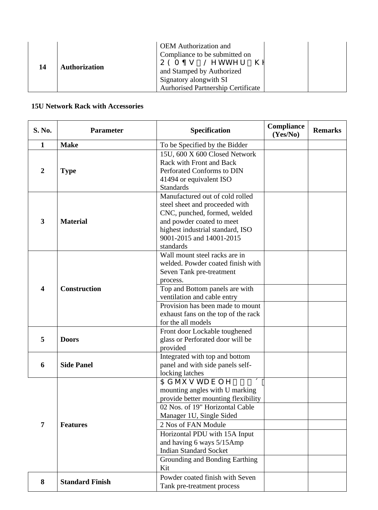| <b>OEM</b> Authorization and<br>Compliance to be submitted on<br>$Q G O \phi u$ " Ng v v g t " j g<br><b>Authorization</b><br>14<br>and Stamped by Authorized<br>Signatory alongwith SI<br><b>Aurhorised Partnership Certificate</b> |  |
|--------------------------------------------------------------------------------------------------------------------------------------------------------------------------------------------------------------------------------------|--|
|--------------------------------------------------------------------------------------------------------------------------------------------------------------------------------------------------------------------------------------|--|

## **15U Network Rack with Accessories**

| <b>S. No.</b>           | <b>Parameter</b>       | <b>Specification</b>                                                                                                                                                                                                                                                                                                                           | <b>Compliance</b><br>(Yes/No) | <b>Remarks</b> |
|-------------------------|------------------------|------------------------------------------------------------------------------------------------------------------------------------------------------------------------------------------------------------------------------------------------------------------------------------------------------------------------------------------------|-------------------------------|----------------|
| $\mathbf{1}$            | <b>Make</b>            | To be Specified by the Bidder                                                                                                                                                                                                                                                                                                                  |                               |                |
| $\overline{2}$          | <b>Type</b>            | 15U, 600 X 600 Closed Network<br>Rack with Front and Back<br>Perforated Conforms to DIN<br>41494 or equivalent ISO<br><b>Standards</b>                                                                                                                                                                                                         |                               |                |
| $\overline{\mathbf{3}}$ | <b>Material</b>        | Manufactured out of cold rolled<br>steel sheet and proceeded with<br>CNC, punched, formed, welded<br>and powder coated to meet<br>highest industrial standard, ISO<br>9001-2015 and 14001-2015<br>standards                                                                                                                                    |                               |                |
| $\overline{\mathbf{4}}$ | <b>Construction</b>    | Wall mount steel racks are in<br>welded. Powder coated finish with<br>Seven Tank pre-treatment<br>process.<br>Top and Bottom panels are with<br>ventilation and cable entry<br>Provision has been made to mount                                                                                                                                |                               |                |
|                         |                        | exhaust fans on the top of the rack<br>for the all models                                                                                                                                                                                                                                                                                      |                               |                |
| 5                       | <b>Doors</b>           | Front door Lockable toughened<br>glass or Perforated door will be<br>provided                                                                                                                                                                                                                                                                  |                               |                |
| 6                       | <b>Side Panel</b>      | Integrated with top and bottom<br>panel and with side panels self-<br>locking latches                                                                                                                                                                                                                                                          |                               |                |
| $\overline{7}$          | <b>Features</b>        | $\overline{C}$ f 1 wu v c d n g " 3 ; ö<br>mounting angles with U marking<br>provide better mounting flexibility<br>02 Nos. of 19" Horizontal Cable<br>Manager 1U, Single Sided<br>2 Nos of FAN Module<br>Horizontal PDU with 15A Input<br>and having 6 ways 5/15Amp<br><b>Indian Standard Socket</b><br>Grounding and Bonding Earthing<br>Kit |                               |                |
| 8                       | <b>Standard Finish</b> | Powder coated finish with Seven<br>Tank pre-treatment process                                                                                                                                                                                                                                                                                  |                               |                |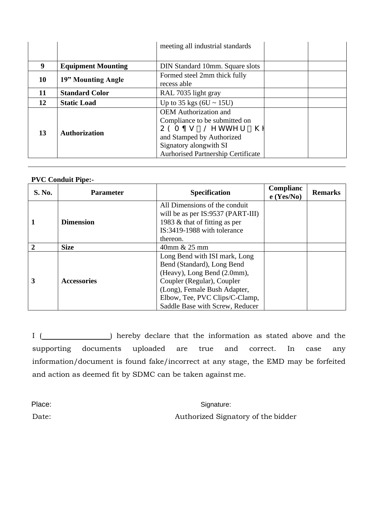|    |                           | meeting all industrial standards                                                                                                                                                                       |  |
|----|---------------------------|--------------------------------------------------------------------------------------------------------------------------------------------------------------------------------------------------------|--|
|    |                           |                                                                                                                                                                                                        |  |
| 9  | <b>Equipment Mounting</b> | DIN Standard 10mm. Square slots                                                                                                                                                                        |  |
| 10 | 19" Mounting Angle        | Formed steel 2mm thick fully<br>recess able                                                                                                                                                            |  |
| 11 | <b>Standard Color</b>     | RAL 7035 light gray                                                                                                                                                                                    |  |
| 12 | <b>Static Load</b>        | Up to 35 kgs $(6U \sim 15U)$                                                                                                                                                                           |  |
| 13 | <b>Authorization</b>      | <b>OEM</b> Authorization and<br>Compliance to be submitted on<br>$Q G O \phi u$ " Ng v v g t " j g<br>and Stamped by Authorized<br>Signatory alongwith SI<br><b>Aurhorised Partnership Certificate</b> |  |

### **PVC Conduit Pipe:-**

| <b>S. No.</b> | <b>Parameter</b>   | <b>Specification</b>                                               | Complianc<br>$e$ (Yes/No) | <b>Remarks</b> |
|---------------|--------------------|--------------------------------------------------------------------|---------------------------|----------------|
|               | <b>Dimension</b>   | All Dimensions of the conduit<br>will be as per IS:9537 (PART-III) |                           |                |
|               |                    | 1983 & that of fitting as per                                      |                           |                |
|               |                    | IS:3419-1988 with tolerance                                        |                           |                |
|               |                    | thereon.                                                           |                           |                |
|               | <b>Size</b>        | 40mm & 25 mm                                                       |                           |                |
| 3             | <b>Accessories</b> | Long Bend with ISI mark, Long                                      |                           |                |
|               |                    | Bend (Standard), Long Bend                                         |                           |                |
|               |                    | (Heavy), Long Bend (2.0mm),                                        |                           |                |
|               |                    | Coupler (Regular), Coupler                                         |                           |                |
|               |                    | (Long), Female Bush Adapter,                                       |                           |                |
|               |                    | Elbow, Tee, PVC Clips/C-Clamp,                                     |                           |                |
|               |                    | Saddle Base with Screw, Reducer                                    |                           |                |

I (  $\Box$ ) hereby declare that the information as stated above and the supporting documents uploaded are true and correct. In case any information/document is found fake/incorrect at any stage, the EMD may be forfeited and action as deemed fit by SDMC can be taken against me.

Place: Signature: Signature: Signature: Signature: Signature: Signature: Signature: Signature: Signature: Signature: Signature: Signature: Signature: Signature: Signature: Signature: Signature: Signature: Signature: Signat Date: Authorized Signatory of the bidder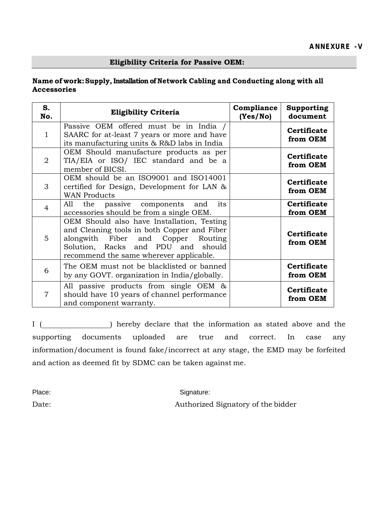# **Eligibility Criteria for Passive OEM:**

### **Name of work: Supply, Installation of Network Cabling and Conducting along with all Accessories**

| S.<br>No.      | <b>Eligibility Criteria</b>                                                                                                                                                                                      | Compliance<br>(Yes/No) | <b>Supporting</b><br>document  |
|----------------|------------------------------------------------------------------------------------------------------------------------------------------------------------------------------------------------------------------|------------------------|--------------------------------|
| $\mathbf{1}$   | Passive OEM offered must be in India /<br>SAARC for at-least 7 years or more and have<br>its manufacturing units & R&D labs in India                                                                             |                        | <b>Certificate</b><br>from OEM |
| $\overline{2}$ | OEM Should manufacture products as per<br>TIA/EIA or ISO/ IEC standard and be a<br>member of BICSI.                                                                                                              |                        | <b>Certificate</b><br>from OEM |
| 3              | OEM should be an ISO9001 and ISO14001<br>certified for Design, Development for LAN &<br><b>WAN Products</b>                                                                                                      |                        | <b>Certificate</b><br>from OEM |
| $\overline{4}$ | All the passive components and<br>its<br>accessories should be from a single OEM.                                                                                                                                |                        | <b>Certificate</b><br>from OEM |
| 5              | OEM Should also have Installation, Testing<br>and Cleaning tools in both Copper and Fiber<br>alongwith Fiber and Copper Routing<br>Solution, Racks and PDU and should<br>recommend the same wherever applicable. |                        | <b>Certificate</b><br>from OEM |
| 6              | The OEM must not be blacklisted or banned<br>by any GOVT. organization in India/globally.                                                                                                                        |                        | <b>Certificate</b><br>from OEM |
| $\overline{7}$ | All passive products from single OEM &<br>should have 10 years of channel performance<br>and component warranty.                                                                                                 |                        | <b>Certificate</b><br>from OEM |

I ( ) hereby declare that the information as stated above and the supporting documents uploaded are true and correct. In case any information/document is found fake/incorrect at any stage, the EMD may be forfeited and action as deemed fit by SDMC can be taken against me.

Place: Signature: Signature: Date: Authorized Signatory of the bidder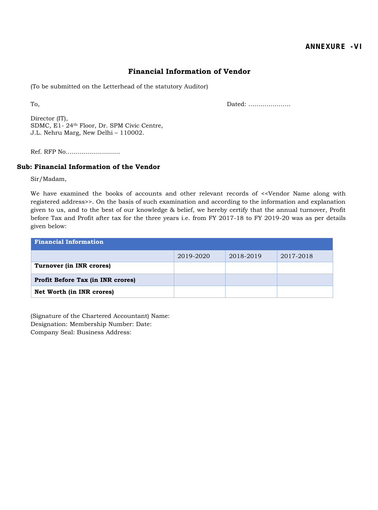### **Financial Information of Vendor**

(To be submitted on the Letterhead of the statutory Auditor)

To, Dated: …………………

Director (IT), SDMC, E1- 24th Floor, Dr. SPM Civic Centre, J.L. Nehru Marg, New Delhi – 110002.

Ref. RFP No………………………

#### **Sub: Financial Information of the Vendor**

Sir/Madam,

We have examined the books of accounts and other relevant records of <<Vendor Name along with registered address>>. On the basis of such examination and according to the information and explanation given to us, and to the best of our knowledge & belief, we hereby certify that the annual turnover, Profit before Tax and Profit after tax for the three years i.e. from FY 2017-18 to FY 2019-20 was as per details given below:

| <b>Financial Information</b>             |           |           |           |  |  |  |  |
|------------------------------------------|-----------|-----------|-----------|--|--|--|--|
|                                          | 2019-2020 | 2018-2019 | 2017-2018 |  |  |  |  |
| Turnover (in INR crores)                 |           |           |           |  |  |  |  |
| <b>Profit Before Tax (in INR crores)</b> |           |           |           |  |  |  |  |
| Net Worth (in INR crores)                |           |           |           |  |  |  |  |

(Signature of the Chartered Accountant) Name: Designation: Membership Number: Date: Company Seal: Business Address: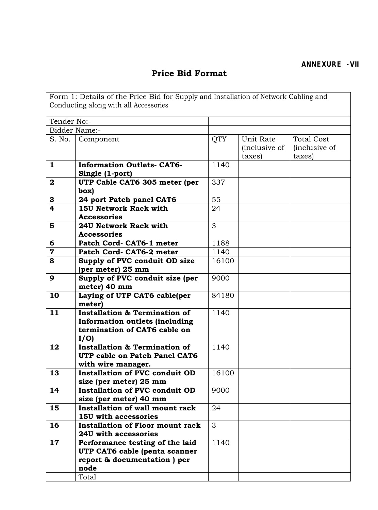## **Price Bid Format**

Form 1: Details of the Price Bid for Supply and Installation of Network Cabling and Conducting along with all Accessories Tender No:- Bidder Name:- S. No. | Component | QTY | Unit Rate (inclusive of taxes) Total Cost (inclusive of taxes) **1 Information Outlets- CAT6- Single (1-port)** 1140 **2 UTP Cable CAT6 305 meter (per box)** 337 **3 24 port Patch panel CAT6 55 4 15U Network Rack with Accessories** 24 **5 24U Network Rack with Accessories** 3<sup>-</sup> **6 Patch Cord- CAT6-1 meter** 1188 **7 Patch Cord- CAT6-2 meter** 1140 **8 Supply of PVC conduit OD size (per meter) 25 mm** 16100 **9 Supply of PVC conduit size (per meter) 40 mm** 9000 **10 Laying of UTP CAT6 cable(per meter)** 84180 **11 Installation & Termination of Information outlets (including termination of CAT6 cable on I/O)** 1140 **12 Installation & Termination of UTP cable on Patch Panel CAT6 with wire manager.** 1140 **13 Installation of PVC conduit OD size (per meter) 25 mm** 16100 **14 Installation of PVC conduit OD size (per meter) 40 mm** 9000 **15 Installation of wall mount rack 15U with accessories**  $\overline{24}$ **16 Installation of Floor mount rack 24U with accessories** 3 **17 Performance testing of the laid UTP CAT6 cable (penta scanner report & documentation ) per node** 1140

Total